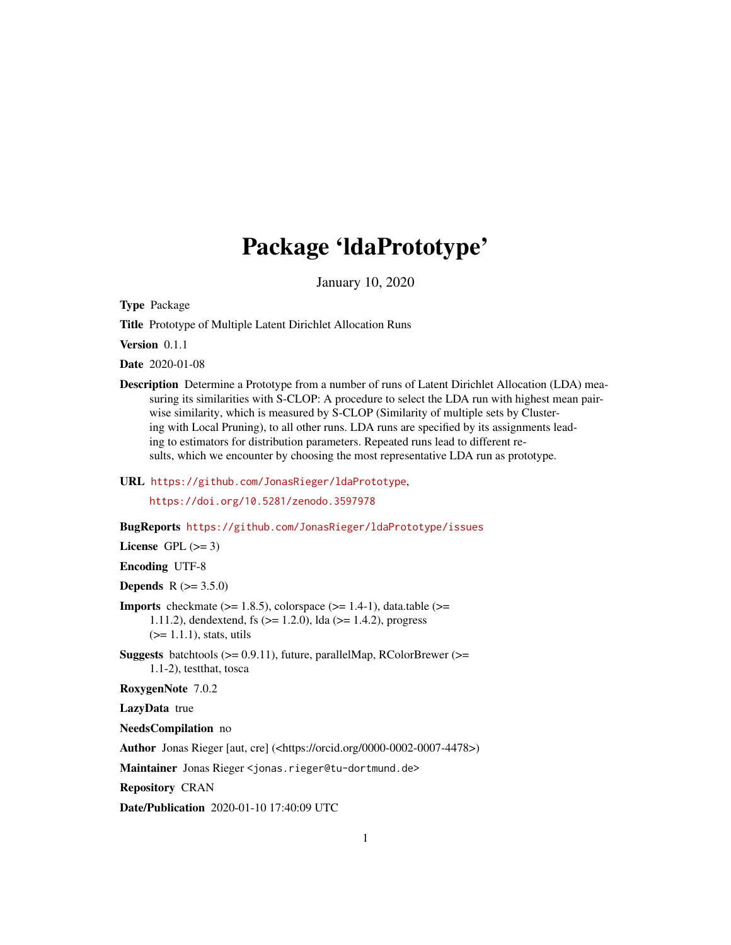# Package 'ldaPrototype'

January 10, 2020

<span id="page-0-0"></span>Type Package

Title Prototype of Multiple Latent Dirichlet Allocation Runs

Version 0.1.1

Date 2020-01-08

Description Determine a Prototype from a number of runs of Latent Dirichlet Allocation (LDA) measuring its similarities with S-CLOP: A procedure to select the LDA run with highest mean pairwise similarity, which is measured by S-CLOP (Similarity of multiple sets by Clustering with Local Pruning), to all other runs. LDA runs are specified by its assignments leading to estimators for distribution parameters. Repeated runs lead to different results, which we encounter by choosing the most representative LDA run as prototype.

URL <https://github.com/JonasRieger/ldaPrototype>,

<https://doi.org/10.5281/zenodo.3597978>

BugReports <https://github.com/JonasRieger/ldaPrototype/issues>

License GPL  $(>= 3)$ 

Encoding UTF-8

**Depends**  $R (= 3.5.0)$ 

- **Imports** checkmate  $(>= 1.8.5)$ , colorspace  $(>= 1.4-1)$ , data.table  $(>=$ 1.11.2), dendextend, fs (>= 1.2.0), lda (>= 1.4.2), progress  $(>= 1.1.1)$ , stats, utils
- **Suggests** batchtools ( $>= 0.9.11$ ), future, parallelMap, RColorBrewer ( $>=$ 1.1-2), testthat, tosca

RoxygenNote 7.0.2

LazyData true

NeedsCompilation no

Author Jonas Rieger [aut, cre] (<https://orcid.org/0000-0002-0007-4478>)

Maintainer Jonas Rieger <jonas.rieger@tu-dortmund.de>

Repository CRAN

Date/Publication 2020-01-10 17:40:09 UTC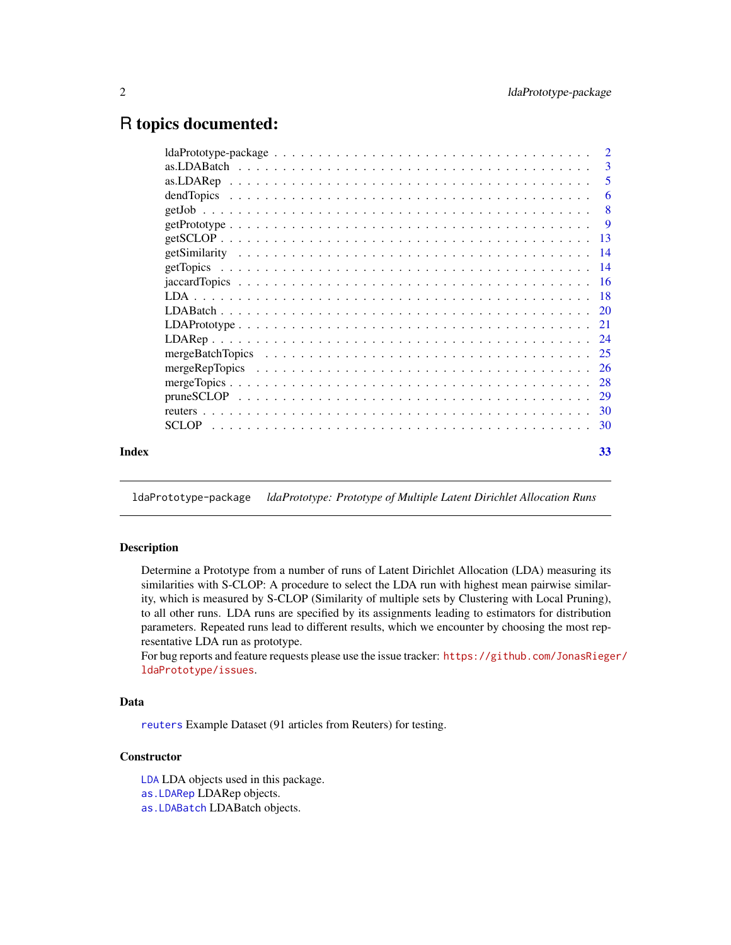## <span id="page-1-0"></span>R topics documented:

|       | $ldaPrototype-package \ldots \ldots \ldots \ldots \ldots \ldots \ldots \ldots \ldots \ldots \ldots \ldots 2$ |    |
|-------|--------------------------------------------------------------------------------------------------------------|----|
|       |                                                                                                              | -3 |
|       |                                                                                                              | -5 |
|       |                                                                                                              | -6 |
|       |                                                                                                              |    |
|       |                                                                                                              |    |
|       |                                                                                                              |    |
|       |                                                                                                              |    |
|       |                                                                                                              |    |
|       |                                                                                                              |    |
|       |                                                                                                              |    |
|       |                                                                                                              |    |
|       |                                                                                                              |    |
|       |                                                                                                              |    |
|       |                                                                                                              |    |
|       |                                                                                                              |    |
|       |                                                                                                              |    |
|       |                                                                                                              |    |
|       |                                                                                                              |    |
|       |                                                                                                              |    |
| Index |                                                                                                              |    |
|       |                                                                                                              | 33 |
|       |                                                                                                              |    |

ldaPrototype-package *ldaPrototype: Prototype of Multiple Latent Dirichlet Allocation Runs*

## Description

Determine a Prototype from a number of runs of Latent Dirichlet Allocation (LDA) measuring its similarities with S-CLOP: A procedure to select the LDA run with highest mean pairwise similarity, which is measured by S-CLOP (Similarity of multiple sets by Clustering with Local Pruning), to all other runs. LDA runs are specified by its assignments leading to estimators for distribution parameters. Repeated runs lead to different results, which we encounter by choosing the most representative LDA run as prototype.

For bug reports and feature requests please use the issue tracker: [https://github.com/JonasRiege](https://github.com/JonasRieger/ldaPrototype/issues)r/ [ldaPrototype/issues](https://github.com/JonasRieger/ldaPrototype/issues).

## Data

[reuters](#page-29-1) Example Dataset (91 articles from Reuters) for testing.

## **Constructor**

[LDA](#page-17-1) LDA objects used in this package.

[as.LDARep](#page-4-1) LDARep objects.

[as.LDABatch](#page-2-1) LDABatch objects.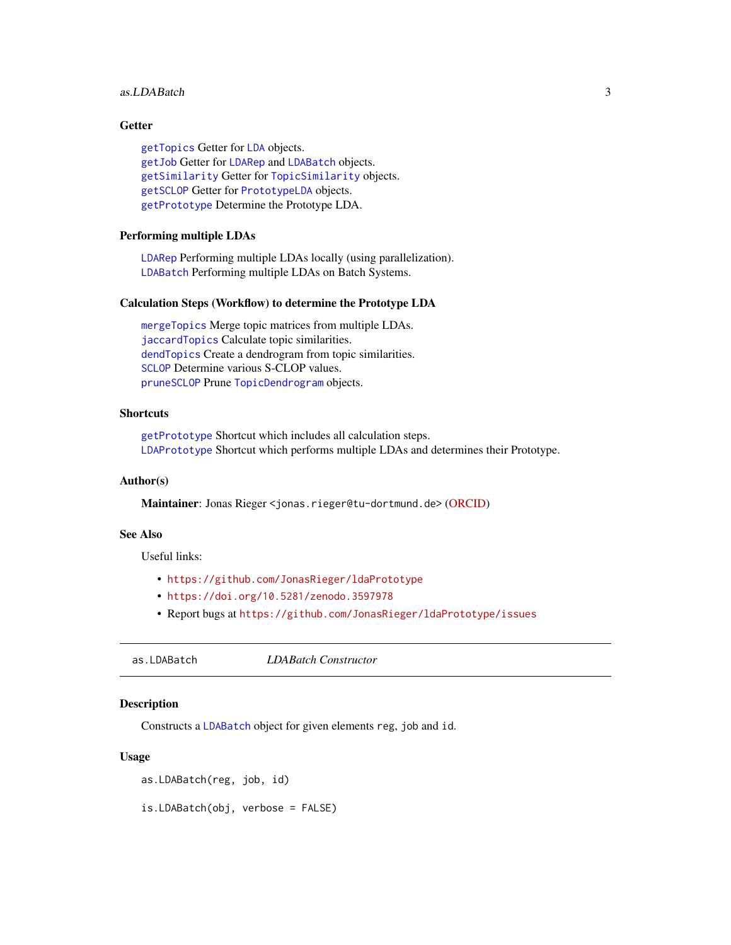#### <span id="page-2-0"></span>as.LDABatch 3

## Getter

[getTopics](#page-13-1) Getter for [LDA](#page-17-1) objects. [getJob](#page-7-1) Getter for [LDARep](#page-23-1) and [LDABatch](#page-19-1) objects. [getSimilarity](#page-13-2) Getter for [TopicSimilarity](#page-15-1) objects. [getSCLOP](#page-12-1) Getter for [PrototypeLDA](#page-8-1) objects. [getPrototype](#page-8-1) Determine the Prototype LDA.

## Performing multiple LDAs

[LDARep](#page-23-1) Performing multiple LDAs locally (using parallelization). [LDABatch](#page-19-1) Performing multiple LDAs on Batch Systems.

#### Calculation Steps (Workflow) to determine the Prototype LDA

[mergeTopics](#page-27-1) Merge topic matrices from multiple LDAs. [jaccardTopics](#page-15-1) Calculate topic similarities. [dendTopics](#page-5-1) Create a dendrogram from topic similarities. [SCLOP](#page-29-2) Determine various S-CLOP values. [pruneSCLOP](#page-28-1) Prune [TopicDendrogram](#page-5-1) objects.

## **Shortcuts**

[getPrototype](#page-8-1) Shortcut which includes all calculation steps. [LDAPrototype](#page-20-1) Shortcut which performs multiple LDAs and determines their Prototype.

#### Author(s)

Maintainer: Jonas Rieger <jonas.rieger@tu-dortmund.de> [\(ORCID\)](https://orcid.org/0000-0002-0007-4478)

## See Also

Useful links:

- <https://github.com/JonasRieger/ldaPrototype>
- <https://doi.org/10.5281/zenodo.3597978>
- Report bugs at <https://github.com/JonasRieger/ldaPrototype/issues>

<span id="page-2-1"></span>as.LDABatch *LDABatch Constructor*

#### Description

Constructs a [LDABatch](#page-19-1) object for given elements reg, job and id.

#### Usage

```
as.LDABatch(reg, job, id)
```
is.LDABatch(obj, verbose = FALSE)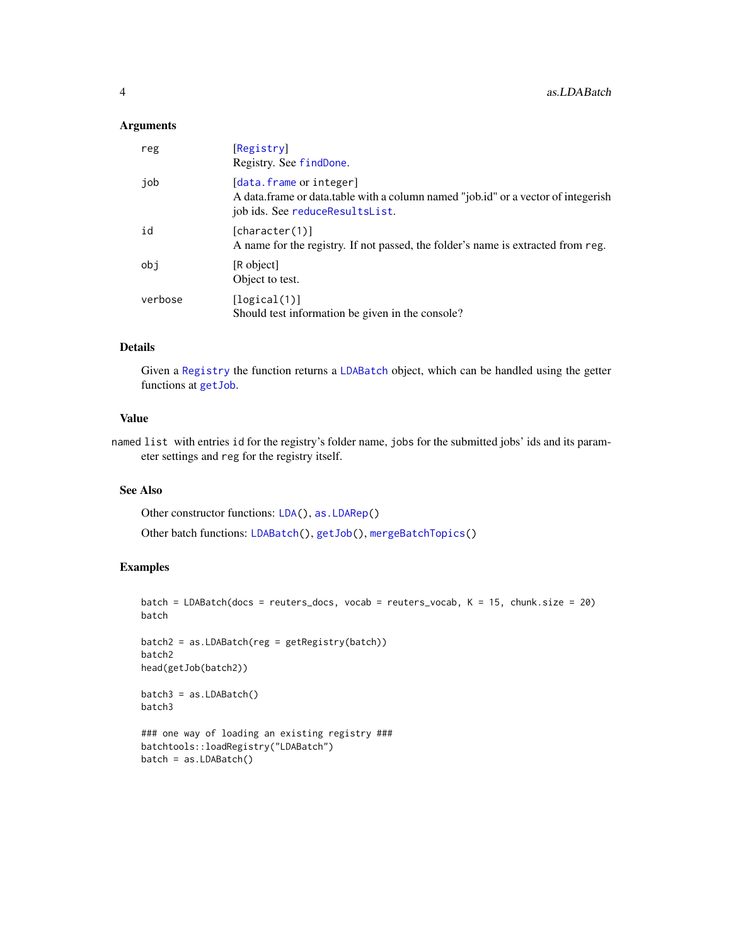## <span id="page-3-0"></span>Arguments

| reg     | [Registry]<br>Registry. See findDone.                                                                                                           |
|---------|-------------------------------------------------------------------------------------------------------------------------------------------------|
| job     | [data.frame or integer]<br>A data frame or data table with a column named "job.id" or a vector of integerish<br>job ids. See reduceResultsList. |
| id      | [character(1)]<br>A name for the registry. If not passed, the folder's name is extracted from reg.                                              |
| obi     | [R object]<br>Object to test.                                                                                                                   |
| verbose | [logical(1)]<br>Should test information be given in the console?                                                                                |

## Details

Given a [Registry](#page-0-0) the function returns a [LDABatch](#page-19-1) object, which can be handled using the getter functions at [getJob](#page-7-1).

#### Value

named list with entries id for the registry's folder name, jobs for the submitted jobs' ids and its parameter settings and reg for the registry itself.

## See Also

Other constructor functions: [LDA\(](#page-17-1)), [as.LDARep\(](#page-4-1))

Other batch functions: [LDABatch\(](#page-19-1)), [getJob\(](#page-7-1)), [mergeBatchTopics\(](#page-24-1))

## Examples

```
batch = LDABatch(docs = reuters_docs, vocab = reuters_vocab, K = 15, chunk.size = 20)
batch
```

```
batch2 = as.LDABatch(reg = getRegistry(batch))
batch2
head(getJob(batch2))
```

```
batch3 = as.LDABatch()
batch3
```

```
### one way of loading an existing registry ###
batchtools::loadRegistry("LDABatch")
batch = as.LDABatch()
```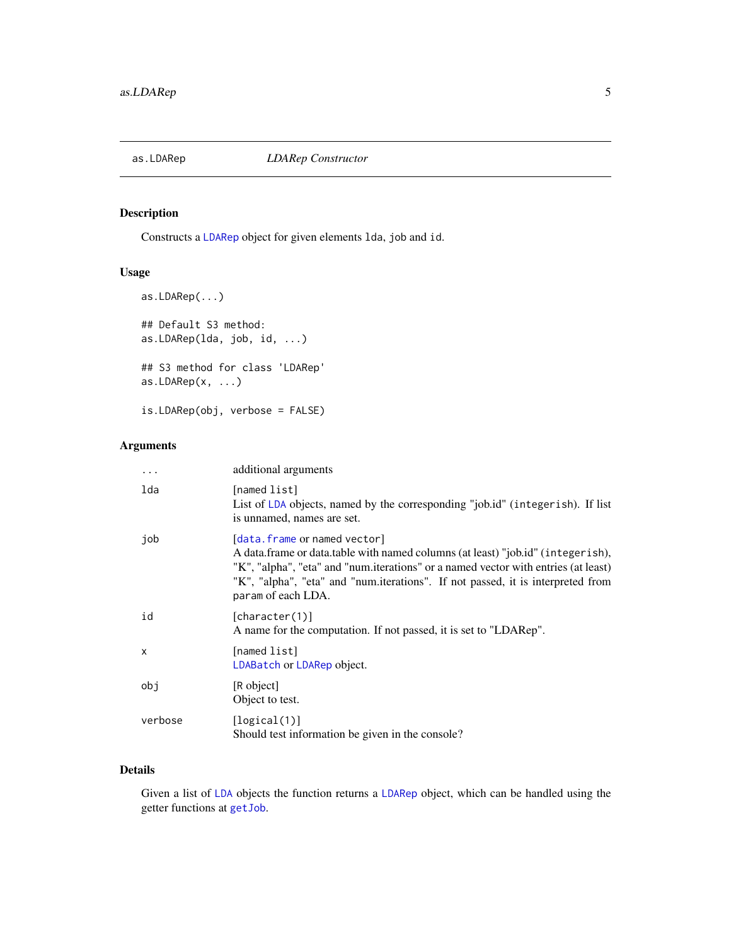<span id="page-4-1"></span><span id="page-4-0"></span>

## Description

Constructs a [LDARep](#page-23-1) object for given elements lda, job and id.

## Usage

```
as.LDARep(...)
## Default S3 method:
as.LDARep(lda, job, id, ...)
## S3 method for class 'LDARep'
as.LDARep(x, ...)
is.LDARep(obj, verbose = FALSE)
```
## Arguments

| $\ddotsc$ | additional arguments                                                                                                                                                                                                                                                                                           |
|-----------|----------------------------------------------------------------------------------------------------------------------------------------------------------------------------------------------------------------------------------------------------------------------------------------------------------------|
| lda       | [named list]<br>List of LDA objects, named by the corresponding "job.id" (integerish). If list<br>is unnamed, names are set.                                                                                                                                                                                   |
| job       | [data.frame or named vector]<br>A data.frame or data.table with named columns (at least) "job.id" (integerish),<br>"K", "alpha", "eta" and "num.iterations" or a named vector with entries (at least)<br>"K", "alpha", "eta" and "num.iterations". If not passed, it is interpreted from<br>param of each LDA. |
| id        | [character(1)]<br>A name for the computation. If not passed, it is set to "LDARep".                                                                                                                                                                                                                            |
| X         | [named list]<br>LDABatch or LDARep object.                                                                                                                                                                                                                                                                     |
| obj       | [R object]<br>Object to test.                                                                                                                                                                                                                                                                                  |
| verbose   | [logical(1)]<br>Should test information be given in the console?                                                                                                                                                                                                                                               |

## Details

Given a list of [LDA](#page-17-1) objects the function returns a [LDARep](#page-23-1) object, which can be handled using the getter functions at [getJob](#page-7-1).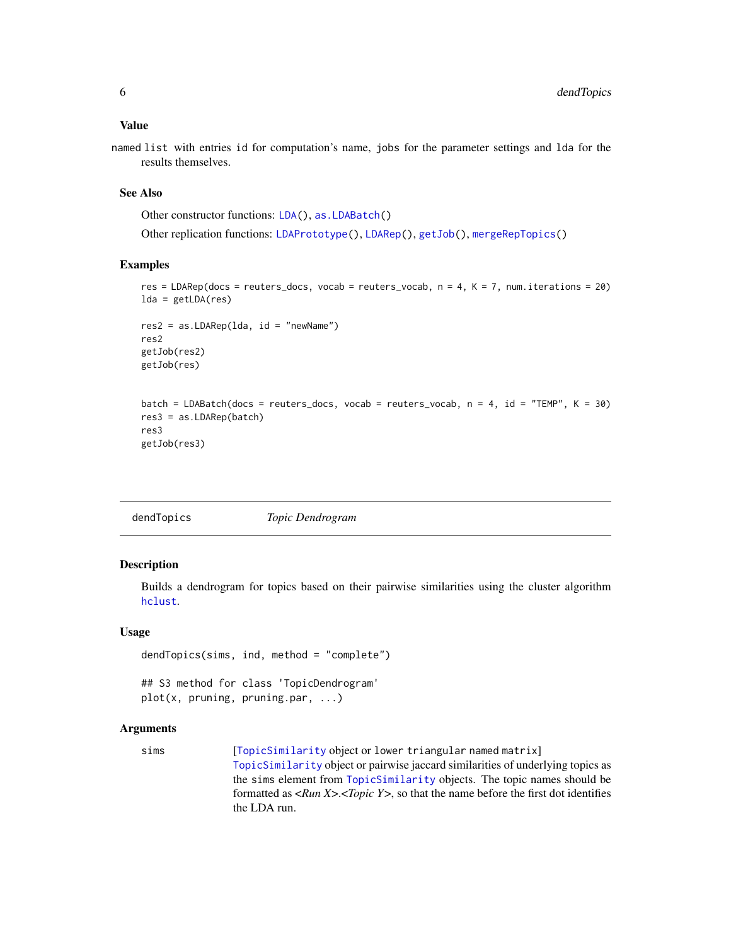<span id="page-5-0"></span>named list with entries id for computation's name, jobs for the parameter settings and lda for the results themselves.

#### See Also

Other constructor functions: [LDA\(](#page-17-1)), [as.LDABatch\(](#page-2-1))

Other replication functions: [LDAPrototype\(](#page-20-1)), [LDARep\(](#page-23-1)), [getJob\(](#page-7-1)), [mergeRepTopics\(](#page-25-1))

#### Examples

```
res = LDARep(docs = reuters_docs, vocab = reuters_vocab, n = 4, K = 7, num.iterations = 20)
lda = getLDA(res)res2 = as.LDARep(lda, id = "newName")
res2
getJob(res2)
getJob(res)
batch = LDABatch(docs = reuters_docs, vocab = reuters_vocab, n = 4, id = "TEMP", K = 30)
res3 = as.LDARep(batch)
res3
getJob(res3)
```
<span id="page-5-1"></span>

| dendTopics | Topic Dendrogram |
|------------|------------------|
|------------|------------------|

## Description

Builds a dendrogram for topics based on their pairwise similarities using the cluster algorithm [hclust](#page-0-0).

#### Usage

```
dendTopics(sims, ind, method = "complete")
## S3 method for class 'TopicDendrogram'
```

```
plot(x, pruning, pruning.par, ...)
```

```
TopicSimilarity object or lower triangular named matrix]
                 TopicSimilarity object or pairwise jaccard similarities of underlying topics as
                 the sims element from TopicSimilarity objects. The topic names should be
                 formatted as <Run X>.<Topic Y>, so that the name before the first dot identifies
                 the LDA run.
```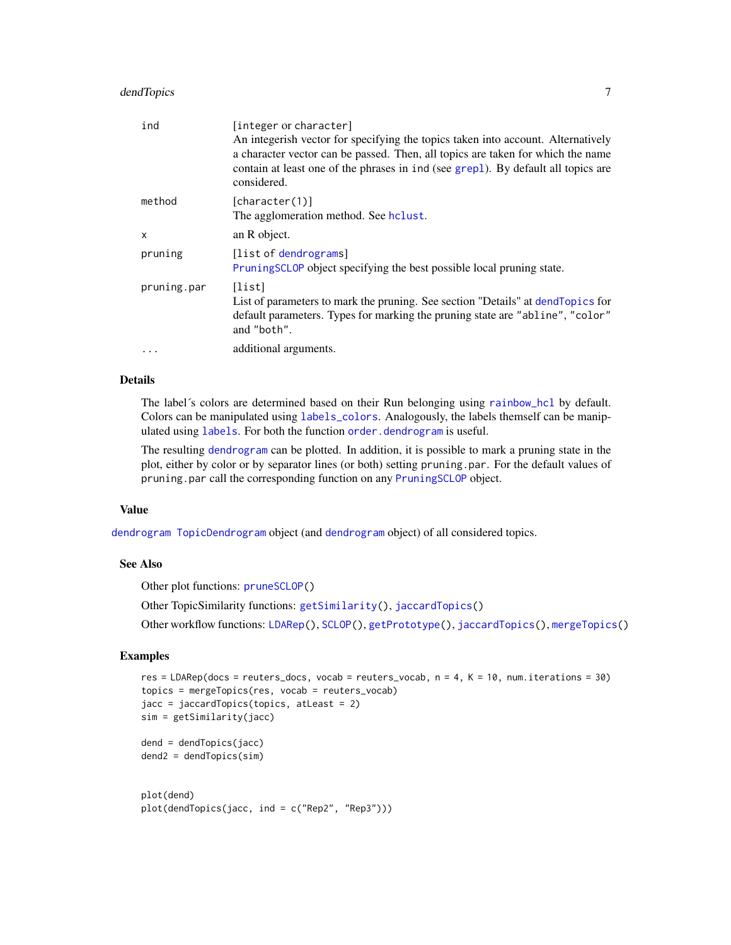## <span id="page-6-0"></span>dendTopics 7

| ind         | [integer or character]<br>An integerish vector for specifying the topics taken into account. Alternatively<br>a character vector can be passed. Then, all topics are taken for which the name<br>contain at least one of the phrases in ind (see grep1). By default all topics are<br>considered. |
|-------------|---------------------------------------------------------------------------------------------------------------------------------------------------------------------------------------------------------------------------------------------------------------------------------------------------|
| method      | [character(1)]<br>The agglomeration method. See holust.                                                                                                                                                                                                                                           |
| X           | an R object.                                                                                                                                                                                                                                                                                      |
| pruning     | [list of dendrograms]<br>Pruning SCLOP object specifying the best possible local pruning state.                                                                                                                                                                                                   |
| pruning.par | [list]<br>List of parameters to mark the pruning. See section "Details" at dend Topics for<br>default parameters. Types for marking the pruning state are "abline", "color"<br>and "both".                                                                                                        |
| .           | additional arguments.                                                                                                                                                                                                                                                                             |
|             |                                                                                                                                                                                                                                                                                                   |

## Details

The label´s colors are determined based on their Run belonging using [rainbow\\_hcl](#page-0-0) by default. Colors can be manipulated using [labels\\_colors](#page-0-0). Analogously, the labels themself can be manipulated using [labels](#page-0-0). For both the function [order.dendrogram](#page-0-0) is useful.

The resulting [dendrogram](#page-0-0) can be plotted. In addition, it is possible to mark a pruning state in the plot, either by color or by separator lines (or both) setting pruning.par. For the default values of pruning.par call the corresponding function on any [PruningSCLOP](#page-28-1) object.

#### Value

[dendrogram](#page-0-0) [TopicDendrogram](#page-5-1) object (and [dendrogram](#page-0-0) object) of all considered topics.

## See Also

Other plot functions: [pruneSCLOP\(](#page-28-1))

Other TopicSimilarity functions: [getSimilarity\(](#page-13-2)), [jaccardTopics\(](#page-15-1))

Other workflow functions: [LDARep\(](#page-23-1)), [SCLOP\(](#page-29-2)), [getPrototype\(](#page-8-1)), [jaccardTopics\(](#page-15-1)), [mergeTopics\(](#page-27-1))

## Examples

```
res = LDARep(docs = reuters_docs, vocab = reuters_vocab, n = 4, K = 10, num.iterations = 30)
topics = mergeTopics(res, vocab = reuters_vocab)
jacc = jaccardTopics(topics, atLeast = 2)
sim = getSimilarity(jacc)
dend = dendTopics(jacc)
dend2 = dendTopics(sim)
```

```
plot(dend)
plot(dendTopics(jacc, ind = c("Rep2", "Rep3")))
```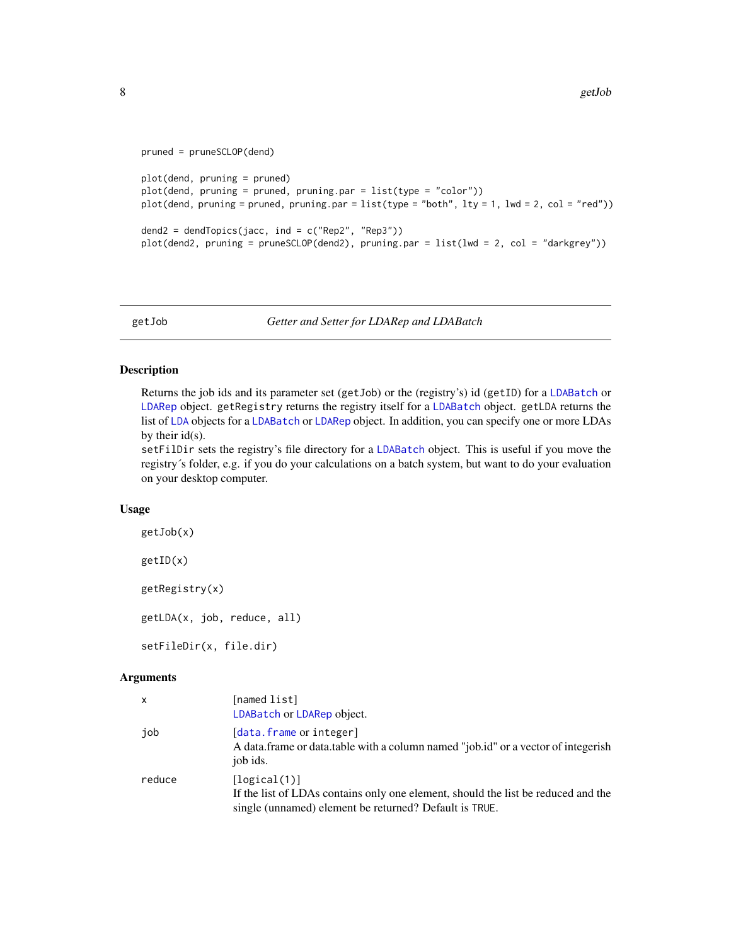```
pruned = pruneSCLOP(dend)
plot(dend, pruning = pruned)
plot(dend, pruning = pruned, pruning.par = list(type = "color"))
plot(dend, pruning = pruned, pruning.par = list(type = "both", lty = 1, lwd = 2, col = "red"))
dend2 = dendTopics(jacc, ind = c("Rep2", "Rep3"))plot(dend2, pruning = pruneSCLOP(dend2), pruning.par = list(lwd = 2, col = "darkgrey"))
```
<span id="page-7-1"></span>getJob *Getter and Setter for LDARep and LDABatch*

#### Description

Returns the job ids and its parameter set (getJob) or the (registry's) id (getID) for a [LDABatch](#page-19-1) or [LDARep](#page-23-1) object. getRegistry returns the registry itself for a [LDABatch](#page-19-1) object. getLDA returns the list of [LDA](#page-17-1) objects for a [LDABatch](#page-19-1) or [LDARep](#page-23-1) object. In addition, you can specify one or more LDAs by their id(s).

setFilDir sets the registry's file directory for a [LDABatch](#page-19-1) object. This is useful if you move the registry´s folder, e.g. if you do your calculations on a batch system, but want to do your evaluation on your desktop computer.

#### Usage

getJob(x) getID(x) getRegistry(x) getLDA(x, job, reduce, all)

setFileDir(x, file.dir)

| x      | [named list]<br>LDABatch or LDARep object.                                                                                                                  |
|--------|-------------------------------------------------------------------------------------------------------------------------------------------------------------|
| job    | [data.frame or integer]<br>A data frame or data table with a column named "job.id" or a vector of integerish<br>job ids.                                    |
| reduce | [logical(1)]<br>If the list of LDAs contains only one element, should the list be reduced and the<br>single (unnamed) element be returned? Default is TRUE. |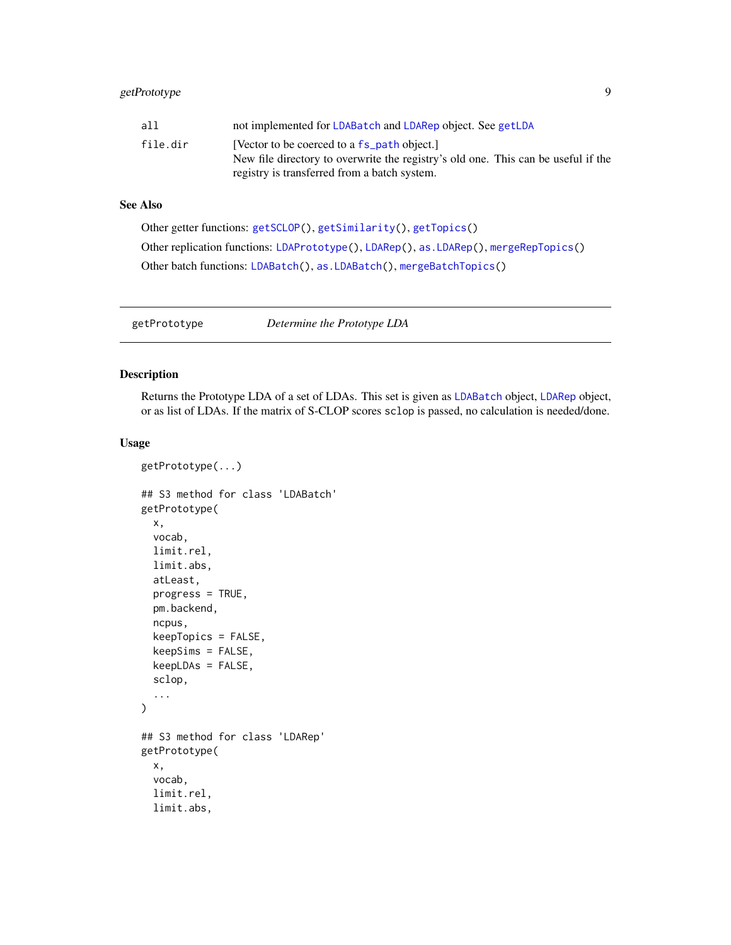<span id="page-8-0"></span>

| all      | not implemented for LDABatch and LDARep object. See getLDA                        |
|----------|-----------------------------------------------------------------------------------|
| file.dir | [Vector to be coerced to a fs_path object.]                                       |
|          | New file directory to overwrite the registry's old one. This can be useful if the |
|          | registry is transferred from a batch system.                                      |

## See Also

```
Other getter functions: getSCLOP(), getSimilarity(), getTopics()
Other replication functions: LDAPrototype(), LDARep(), as.LDARep(), mergeRepTopics()
Other batch functions: LDABatch(), as.LDABatch(), mergeBatchTopics()
```
<span id="page-8-1"></span>getPrototype *Determine the Prototype LDA*

## Description

Returns the Prototype LDA of a set of LDAs. This set is given as [LDABatch](#page-19-1) object, [LDARep](#page-23-1) object, or as list of LDAs. If the matrix of S-CLOP scores sclop is passed, no calculation is needed/done.

#### Usage

```
getPrototype(...)
## S3 method for class 'LDABatch'
getPrototype(
  x,
  vocab,
  limit.rel,
  limit.abs,
  atLeast,
  progress = TRUE,
 pm.backend,
  ncpus,
  keepTopics = FALSE,
  keepSims = FALSE,
  keepLDAs = FALSE,
  sclop,
  ...
)
## S3 method for class 'LDARep'
getPrototype(
  x,
  vocab,
  limit.rel,
  limit.abs,
```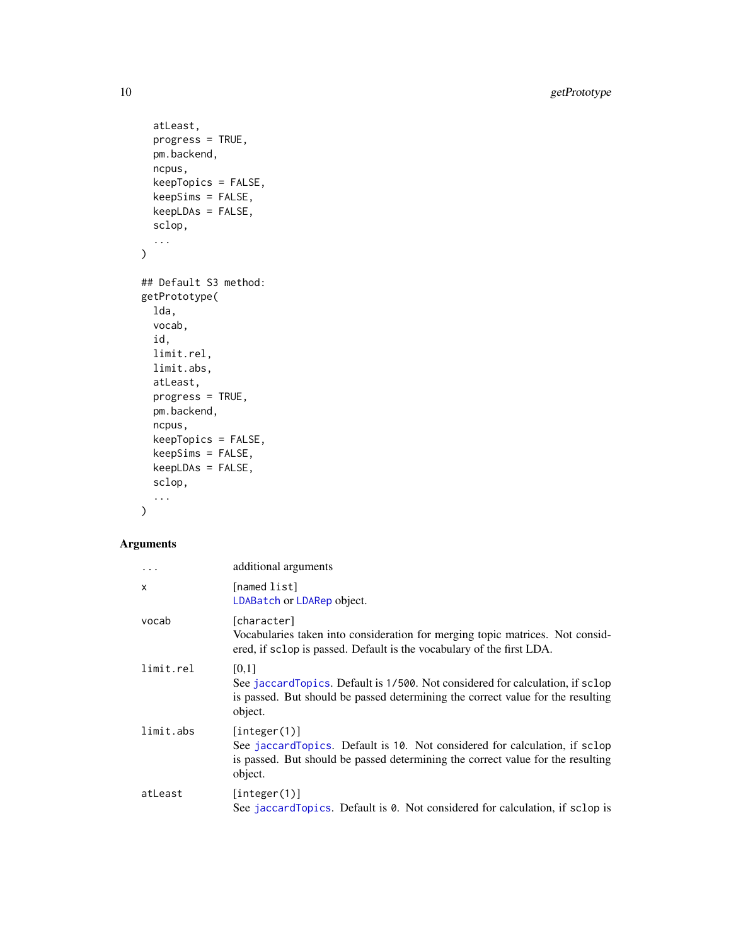<span id="page-9-0"></span>10 getPrototype

```
atLeast,
 progress = TRUE,
 pm.backend,
 ncpus,
 keepTopics = FALSE,
 keepSims = FALSE,
 keepLDAs = FALSE,
  sclop,
  ...
\mathcal{L}## Default S3 method:
getPrototype(
 lda,
 vocab,
  id,
 limit.rel,
 limit.abs,
 atLeast,
 progress = TRUE,
 pm.backend,
 ncpus,
 keepTopics = FALSE,
 keepSims = FALSE,
 keepLDAs = FALSE,
 sclop,
  ...
)
```

| $\ddotsc$    | additional arguments                                                                                                                                                                     |
|--------------|------------------------------------------------------------------------------------------------------------------------------------------------------------------------------------------|
| $\mathsf{x}$ | [named list]<br>LDABatch or LDARep object.                                                                                                                                               |
| vocab        | [character]<br>Vocabularies taken into consideration for merging topic matrices. Not consid-<br>ered, if sclop is passed. Default is the vocabulary of the first LDA.                    |
| limit.rel    | [0,1]<br>See jaccard Topics. Default is 1/500. Not considered for calculation, if sclop<br>is passed. But should be passed determining the correct value for the resulting<br>object.    |
| limit.abs    | [interer(1)]<br>See jaccardTopics. Default is 10. Not considered for calculation, if sclop<br>is passed. But should be passed determining the correct value for the resulting<br>object. |
| atLeast      | [interer(1)]<br>See jaccard Topics. Default is 0. Not considered for calculation, if sclop is                                                                                            |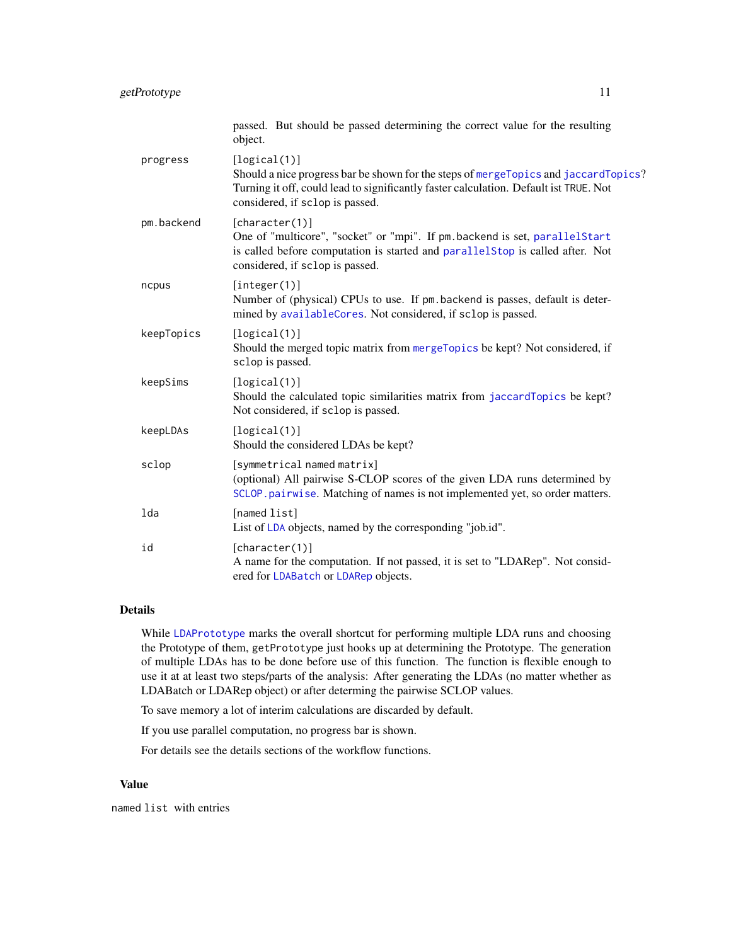<span id="page-10-0"></span>

|            | passed. But should be passed determining the correct value for the resulting<br>object.                                                                                                                                         |
|------------|---------------------------------------------------------------------------------------------------------------------------------------------------------------------------------------------------------------------------------|
| progress   | [logical(1)]<br>Should a nice progress bar be shown for the steps of mergeTopics and jaccardTopics?<br>Turning it off, could lead to significantly faster calculation. Default ist TRUE. Not<br>considered, if sclop is passed. |
| pm.backend | [character(1)]<br>One of "multicore", "socket" or "mpi". If pm. backend is set, parallelStart<br>is called before computation is started and parallelstop is called after. Not<br>considered, if sclop is passed.               |
| ncpus      | [integer(1)]<br>Number of (physical) CPUs to use. If pm. backend is passes, default is deter-<br>mined by availableCores. Not considered, if sclop is passed.                                                                   |
| keepTopics | [logical(1)]<br>Should the merged topic matrix from mergeTopics be kept? Not considered, if<br>sclop is passed.                                                                                                                 |
| keepSims   | [logical(1)]<br>Should the calculated topic similarities matrix from jaccardTopics be kept?<br>Not considered, if sclop is passed.                                                                                              |
| keepLDAs   | [logical(1)]<br>Should the considered LDAs be kept?                                                                                                                                                                             |
| sclop      | [symmetrical named matrix]<br>(optional) All pairwise S-CLOP scores of the given LDA runs determined by<br>SCLOP.pairwise. Matching of names is not implemented yet, so order matters.                                          |
| lda        | [named list]<br>List of LDA objects, named by the corresponding "job.id".                                                                                                                                                       |
| id         | [character(1)]<br>A name for the computation. If not passed, it is set to "LDARep". Not consid-<br>ered for LDABatch or LDARep objects.                                                                                         |
|            |                                                                                                                                                                                                                                 |

## Details

While [LDAPrototype](#page-20-1) marks the overall shortcut for performing multiple LDA runs and choosing the Prototype of them, getPrototype just hooks up at determining the Prototype. The generation of multiple LDAs has to be done before use of this function. The function is flexible enough to use it at at least two steps/parts of the analysis: After generating the LDAs (no matter whether as LDABatch or LDARep object) or after determing the pairwise SCLOP values.

To save memory a lot of interim calculations are discarded by default.

If you use parallel computation, no progress bar is shown.

For details see the details sections of the workflow functions.

#### Value

named list with entries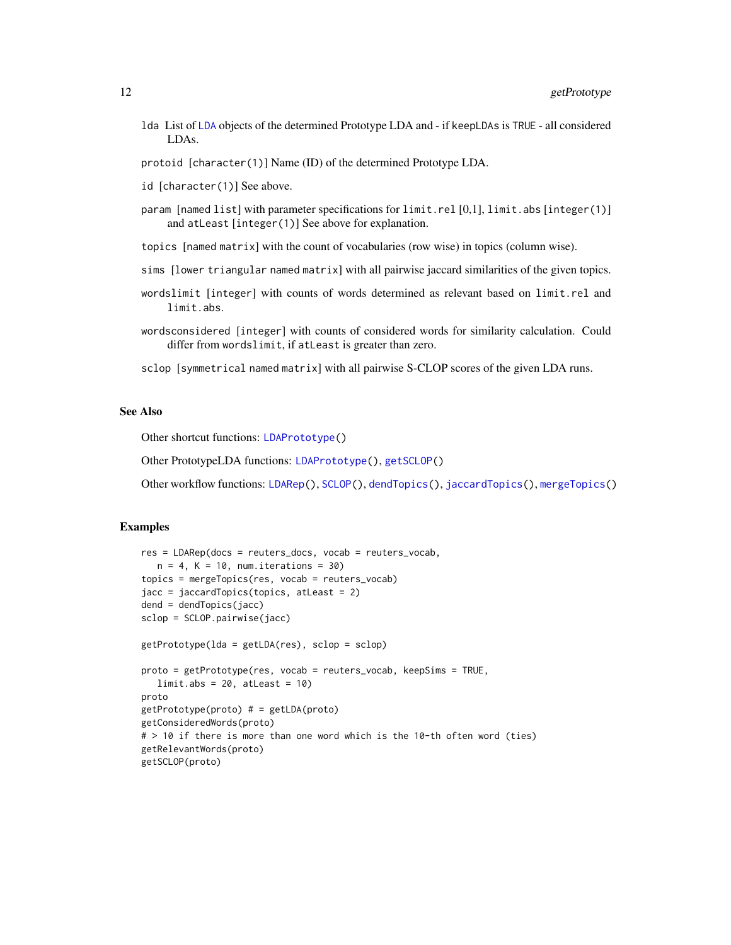- <span id="page-11-0"></span>lda List of [LDA](#page-17-1) objects of the determined Prototype LDA and - if keepLDAs is TRUE - all considered LDAs.
- protoid [character(1)] Name (ID) of the determined Prototype LDA.
- id [character(1)] See above.
- param [named list] with parameter specifications for limit.rel [0,1], limit.abs [integer(1)] and atLeast [integer(1)] See above for explanation.
- topics [named matrix] with the count of vocabularies (row wise) in topics (column wise).
- sims [lower triangular named matrix] with all pairwise jaccard similarities of the given topics.
- wordslimit [integer] with counts of words determined as relevant based on limit.rel and limit.abs.
- wordsconsidered [integer] with counts of considered words for similarity calculation. Could differ from wordslimit, if atLeast is greater than zero.
- sclop [symmetrical named matrix] with all pairwise S-CLOP scores of the given LDA runs.

## See Also

Other shortcut functions: [LDAPrototype\(](#page-20-1))

Other PrototypeLDA functions: [LDAPrototype\(](#page-20-1)), [getSCLOP\(](#page-12-1))

Other workflow functions: [LDARep\(](#page-23-1)), [SCLOP\(](#page-29-2)), [dendTopics\(](#page-5-1)), [jaccardTopics\(](#page-15-1)), [mergeTopics\(](#page-27-1))

#### Examples

```
res = LDARep(docs = reuters_docs, vocab = reuters_vocab,
  n = 4, K = 10, num.iterations = 30)
topics = mergeTopics(res, vocab = reuters_vocab)
jacc = jaccardTopics(topics, atLeast = 2)
dend = dendTopics(jacc)
sclop = SCLOP.pairwise(jacc)
getPrototype(lda = getLDA(res), sclop = sclop)
proto = getPrototype(res, vocab = reuters_vocab, keepSims = TRUE,
  limit.abs = 20, attleast = 10proto
getPrototype(proto) # = getLDA(proto)
getConsideredWords(proto)
# > 10 if there is more than one word which is the 10-th often word (ties)
getRelevantWords(proto)
getSCLOP(proto)
```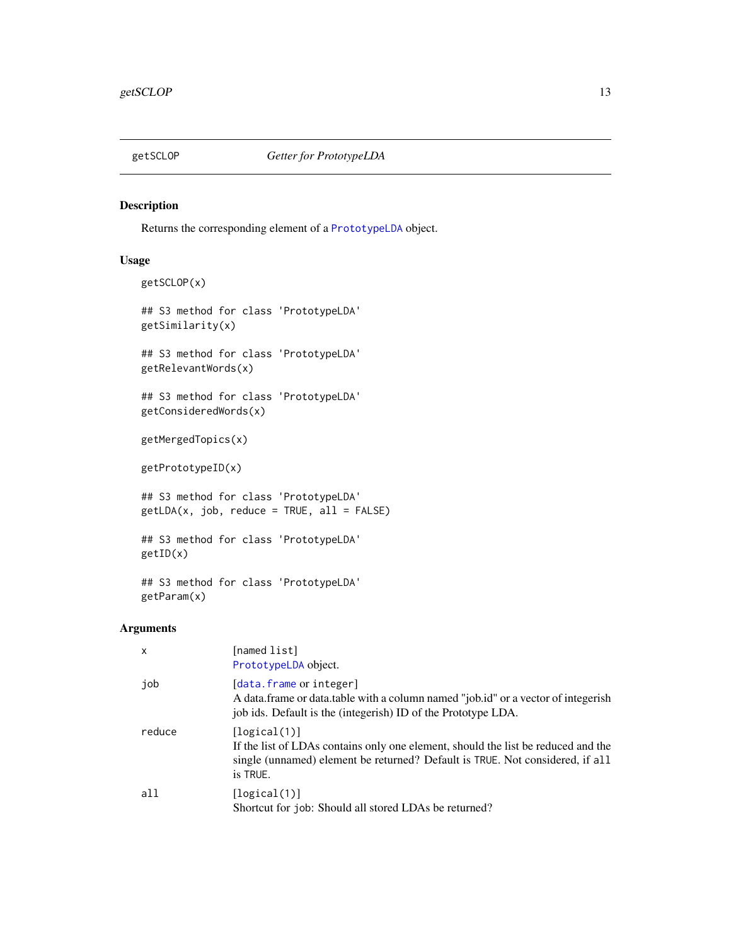<span id="page-12-1"></span><span id="page-12-0"></span>

## Description

Returns the corresponding element of a [PrototypeLDA](#page-8-1) object.

## Usage

```
getSCLOP(x)
## S3 method for class 'PrototypeLDA'
getSimilarity(x)
## S3 method for class 'PrototypeLDA'
getRelevantWords(x)
## S3 method for class 'PrototypeLDA'
getConsideredWords(x)
getMergedTopics(x)
getPrototypeID(x)
## S3 method for class 'PrototypeLDA'
getLDA(x, job, reduce = TRUE, all = FALSE)
## S3 method for class 'PrototypeLDA'
getID(x)
## S3 method for class 'PrototypeLDA'
```
## Arguments

getParam(x)

| $\mathsf{x}$ | [named list]<br>PrototypeLDA object.                                                                                                                                                           |
|--------------|------------------------------------------------------------------------------------------------------------------------------------------------------------------------------------------------|
| job          | [data.frame or integer]<br>A data frame or data table with a column named "job.id" or a vector of integerish<br>job ids. Default is the (integerish) ID of the Prototype LDA.                  |
| reduce       | [logical(1)]<br>If the list of LDAs contains only one element, should the list be reduced and the<br>single (unnamed) element be returned? Default is TRUE. Not considered, if all<br>is TRUE. |
| all          | [logical(1)]<br>Shortcut for job: Should all stored LDAs be returned?                                                                                                                          |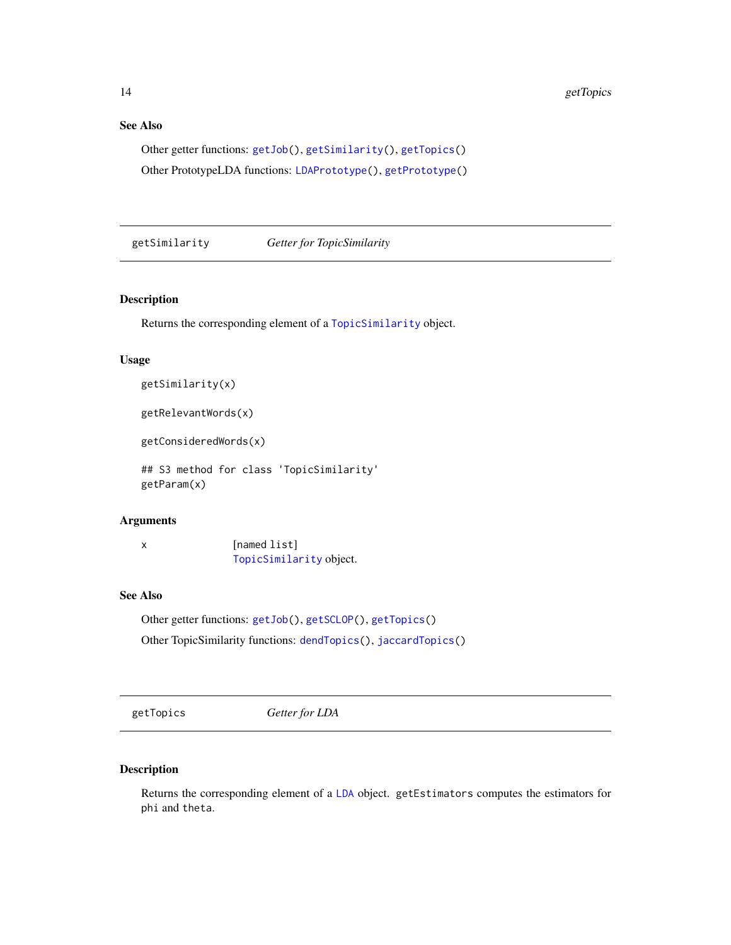## <span id="page-13-0"></span>See Also

Other getter functions: [getJob\(](#page-7-1)), [getSimilarity\(](#page-13-2)), [getTopics\(](#page-13-1)) Other PrototypeLDA functions: [LDAPrototype\(](#page-20-1)), [getPrototype\(](#page-8-1))

<span id="page-13-2"></span>getSimilarity *Getter for TopicSimilarity*

#### Description

Returns the corresponding element of a [TopicSimilarity](#page-15-1) object.

## Usage

```
getSimilarity(x)
```
getRelevantWords(x)

getConsideredWords(x)

## S3 method for class 'TopicSimilarity' getParam(x)

## Arguments

x [named list] [TopicSimilarity](#page-15-1) object.

#### See Also

Other getter functions: [getJob\(](#page-7-1)), [getSCLOP\(](#page-12-1)), [getTopics\(](#page-13-1)) Other TopicSimilarity functions: [dendTopics\(](#page-5-1)), [jaccardTopics\(](#page-15-1))

<span id="page-13-1"></span>getTopics *Getter for LDA*

## Description

Returns the corresponding element of a [LDA](#page-17-1) object. getEstimators computes the estimators for phi and theta.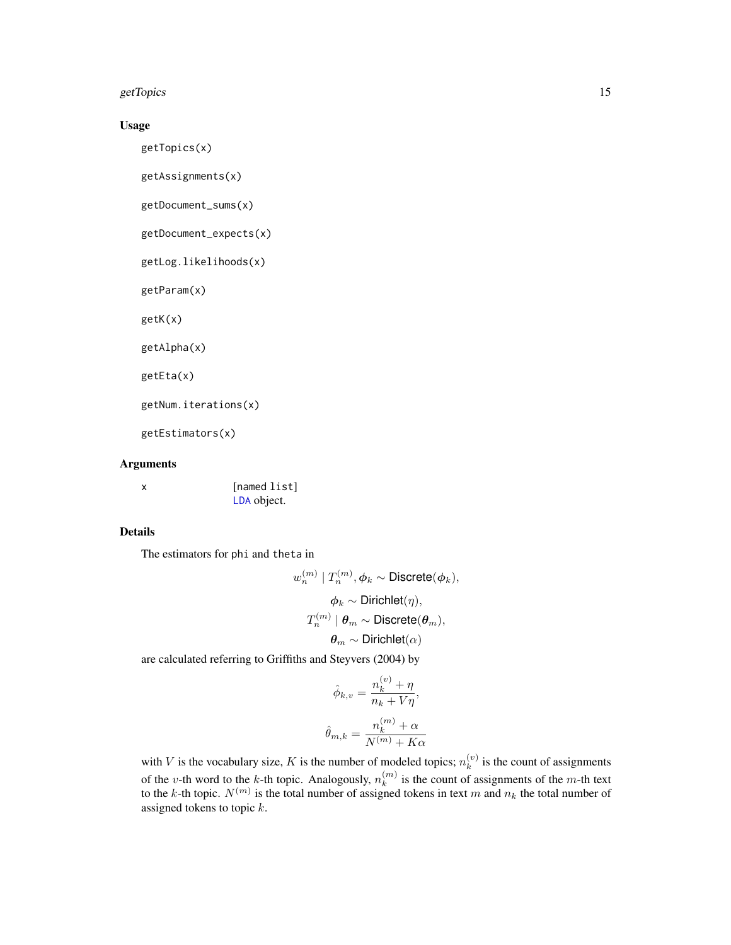getTopics and the setTopics of the setTopics of the setTopics of the setTopics of the setTopics of the setTopics of the setTopics of the setTopics of the setTopics of the setTopics of the setTopics of the setTopics of the

## Usage

getTopics(x)

```
getAssignments(x)
```
getDocument\_sums(x)

getDocument\_expects(x)

getLog.likelihoods(x)

getParam(x)

getK(x)

getAlpha(x)

getEta(x)

getNum.iterations(x)

getEstimators(x)

## Arguments

| [named list] |
|--------------|
| LDA object.  |

## Details

The estimators for phi and theta in

$$
w_n^{(m)} | T_n^{(m)}, \phi_k \sim \text{Discrete}(\phi_k),
$$
  

$$
\phi_k \sim \text{Dirichlet}(\eta),
$$
  

$$
T_n^{(m)} | \theta_m \sim \text{Discrete}(\theta_m),
$$
  

$$
\theta_m \sim \text{Dirichlet}(\alpha)
$$

are calculated referring to Griffiths and Steyvers (2004) by

$$
\hat{\phi}_{k,v} = \frac{n_k^{(v)} + \eta}{n_k + V\eta},
$$

$$
\hat{\theta}_{m,k} = \frac{n_k^{(m)} + \alpha}{N^{(m)} + K\alpha}
$$

with V is the vocabulary size, K is the number of modeled topics;  $n_k^{(v)}$  $k_i^{(v)}$  is the count of assignments of the v-th word to the k-th topic. Analogously,  $n_k^{(m)}$  $\binom{m}{k}$  is the count of assignments of the *m*-th text to the k-th topic.  $N^{(m)}$  is the total number of assigned tokens in text m and  $n_k$  the total number of assigned tokens to topic  $k$ .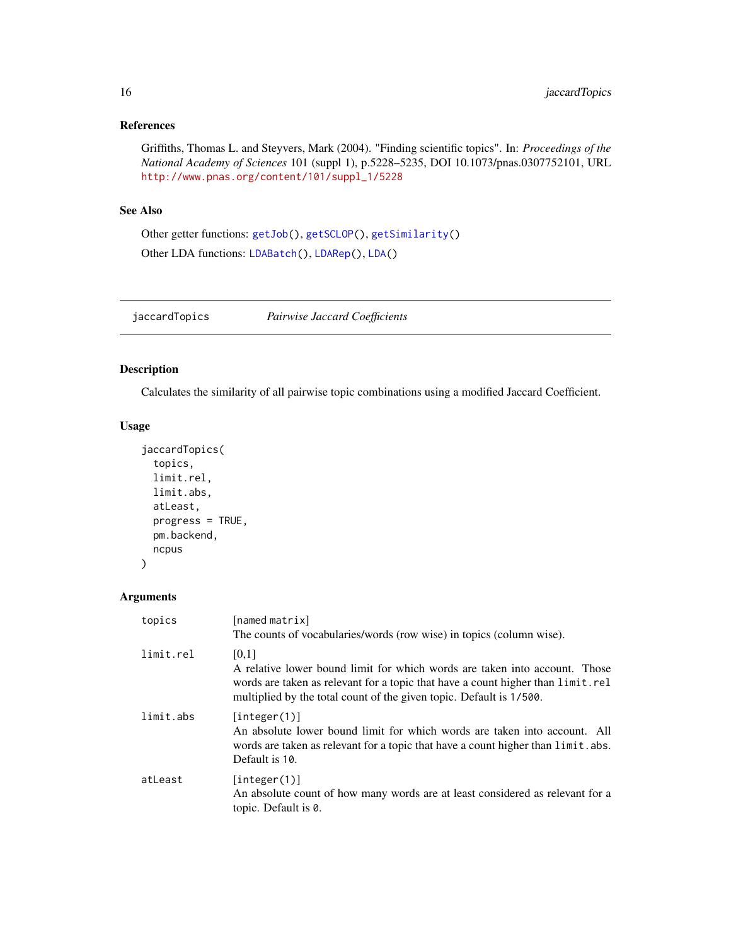## <span id="page-15-0"></span>References

Griffiths, Thomas L. and Steyvers, Mark (2004). "Finding scientific topics". In: *Proceedings of the National Academy of Sciences* 101 (suppl 1), p.5228–5235, DOI 10.1073/pnas.0307752101, URL [http://www.pnas.org/content/101/suppl\\_1/5228](http://www.pnas.org/content/101/suppl_1/5228)

## See Also

Other getter functions: [getJob\(](#page-7-1)), [getSCLOP\(](#page-12-1)), [getSimilarity\(](#page-13-2)) Other LDA functions: [LDABatch\(](#page-19-1)), [LDARep\(](#page-23-1)), [LDA\(](#page-17-1))

<span id="page-15-1"></span>jaccardTopics *Pairwise Jaccard Coefficients*

## Description

Calculates the similarity of all pairwise topic combinations using a modified Jaccard Coefficient.

## Usage

```
jaccardTopics(
  topics,
 limit.rel,
 limit.abs,
 atLeast,
 progress = TRUE,
 pm.backend,
 ncpus
)
```

| topics    | [named matrix]<br>The counts of vocabularies/words (row wise) in topics (column wise).                                                                                                                                                        |
|-----------|-----------------------------------------------------------------------------------------------------------------------------------------------------------------------------------------------------------------------------------------------|
| limit.rel | [0,1]<br>A relative lower bound limit for which words are taken into account. Those<br>words are taken as relevant for a topic that have a count higher than limit.rel<br>multiplied by the total count of the given topic. Default is 1/500. |
| limit.abs | [interer(1)]<br>An absolute lower bound limit for which words are taken into account. All<br>words are taken as relevant for a topic that have a count higher than limit. abs.<br>Default is 10.                                              |
| atLeast   | [interer(1)]<br>An absolute count of how many words are at least considered as relevant for a<br>topic. Default is 0.                                                                                                                         |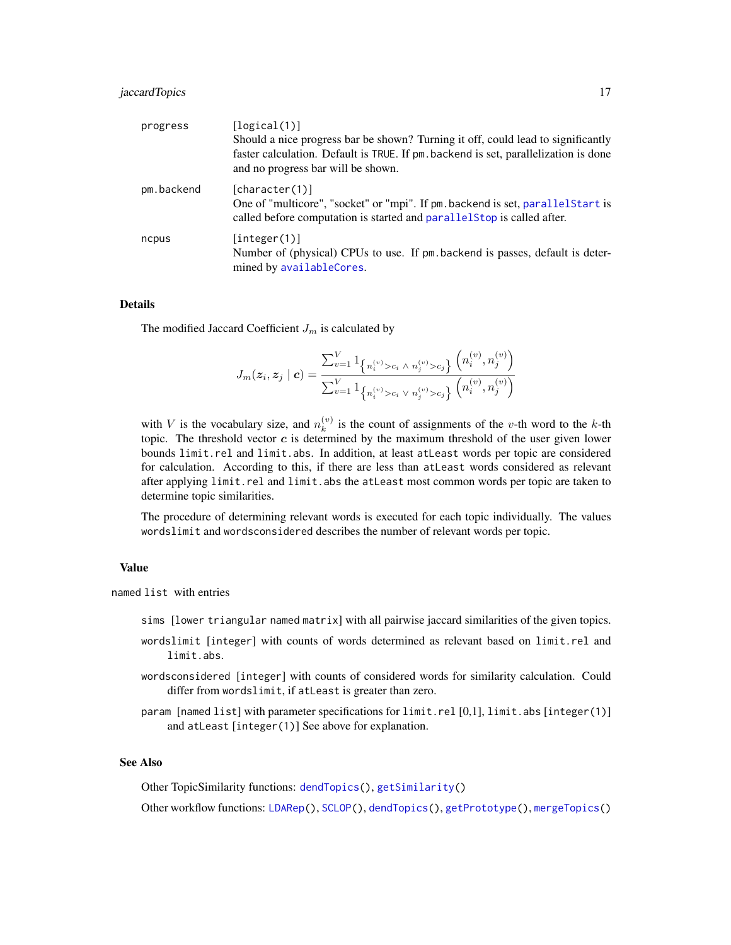## <span id="page-16-0"></span>jaccardTopics 17

| progress   | [logical(1)]<br>Should a nice progress bar be shown? Turning it off, could lead to significantly<br>faster calculation. Default is TRUE. If pm. backend is set, parallelization is done<br>and no progress bar will be shown. |
|------------|-------------------------------------------------------------------------------------------------------------------------------------------------------------------------------------------------------------------------------|
| pm.backend | [character(1)]<br>One of "multicore", "socket" or "mpi". If pm. backend is set, parallel Start is<br>called before computation is started and parallelstop is called after.                                                   |
| ncpus      | [interer(1)]<br>Number of (physical) CPUs to use. If pm backend is passes, default is deter-<br>mined by availableCores.                                                                                                      |

## Details

The modified Jaccard Coefficient  $J_m$  is calculated by

$$
J_m(\bm{z}_i,\bm{z}_j \mid \bm{c}) = \frac{\sum_{v=1}^V 1_{\left\{n_i^{(v)} > c_i \, \land \, n_j^{(v)} > c_j\right\}} \left(n_i^{(v)},n_j^{(v)}\right)}{\sum_{v=1}^V 1_{\left\{n_i^{(v)} > c_i \, \lor \, n_j^{(v)} > c_j\right\}} \left(n_i^{(v)},n_j^{(v)}\right)}
$$

with V is the vocabulary size, and  $n_k^{(v)}$  $\binom{v}{k}$  is the count of assignments of the v-th word to the k-th topic. The threshold vector  $c$  is determined by the maximum threshold of the user given lower bounds limit.rel and limit.abs. In addition, at least atLeast words per topic are considered for calculation. According to this, if there are less than atLeast words considered as relevant after applying limit.rel and limit.abs the atleast most common words per topic are taken to determine topic similarities.

The procedure of determining relevant words is executed for each topic individually. The values wordslimit and wordsconsidered describes the number of relevant words per topic.

#### Value

named list with entries

- sims [lower triangular named matrix] with all pairwise jaccard similarities of the given topics.
- wordslimit [integer] with counts of words determined as relevant based on limit.rel and limit.abs.
- wordsconsidered [integer] with counts of considered words for similarity calculation. Could differ from wordslimit, if atLeast is greater than zero.
- param [named list] with parameter specifications for limit.rel [0,1], limit.abs [integer(1)] and atLeast [integer(1)] See above for explanation.

## See Also

Other TopicSimilarity functions: [dendTopics\(](#page-5-1)), [getSimilarity\(](#page-13-2))

Other workflow functions: [LDARep\(](#page-23-1)), [SCLOP\(](#page-29-2)), [dendTopics\(](#page-5-1)), [getPrototype\(](#page-8-1)), [mergeTopics\(](#page-27-1))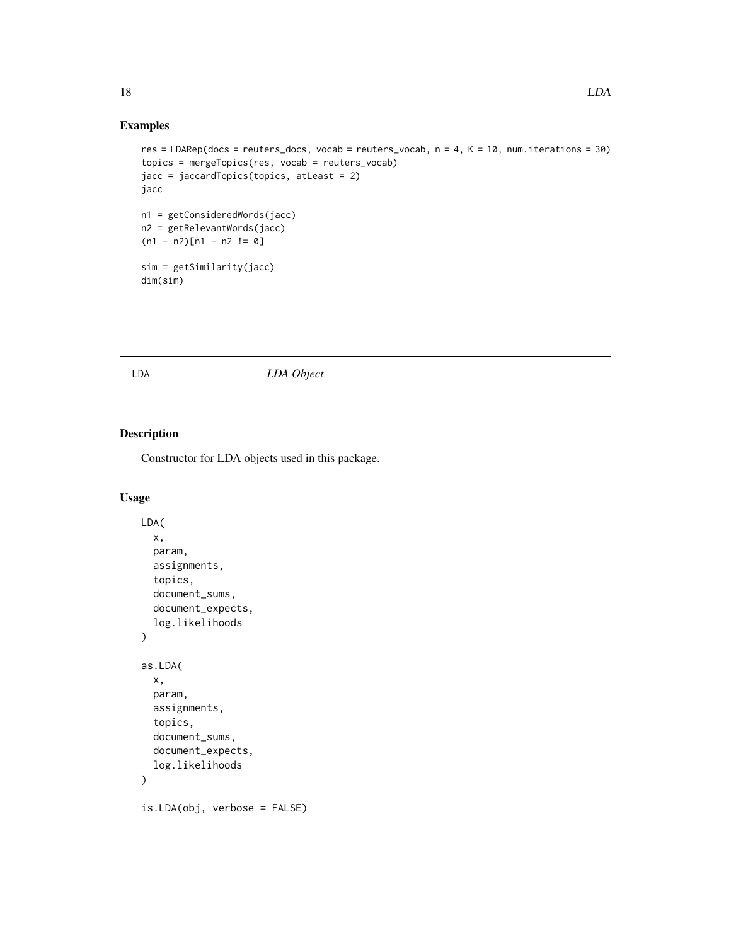## Examples

```
res = LDARep(docs = reuters_docs, vocab = reuters_vocab, n = 4, K = 10, num.iterations = 30)
topics = mergeTopics(res, vocab = reuters_vocab)
jacc = jaccardTopics(topics, atLeast = 2)
jacc
n1 = getConsideredWords(jacc)
n2 = getRelevantWords(jacc)
(n1 - n2)[n1 - n2 != 0]
sim = getSimilarity(jacc)
dim(sim)
```
## <span id="page-17-1"></span>LDA *LDA Object*

## Description

Constructor for LDA objects used in this package.

#### Usage

```
LDA(
  x,
  param,
  assignments,
  topics,
  document_sums,
  document_expects,
  log.likelihoods
\mathcal{E}as.LDA(
  x,
  param,
  assignments,
  topics,
  document_sums,
  document_expects,
  log.likelihoods
\mathcal{L}is.LDA(obj, verbose = FALSE)
```
<span id="page-17-0"></span>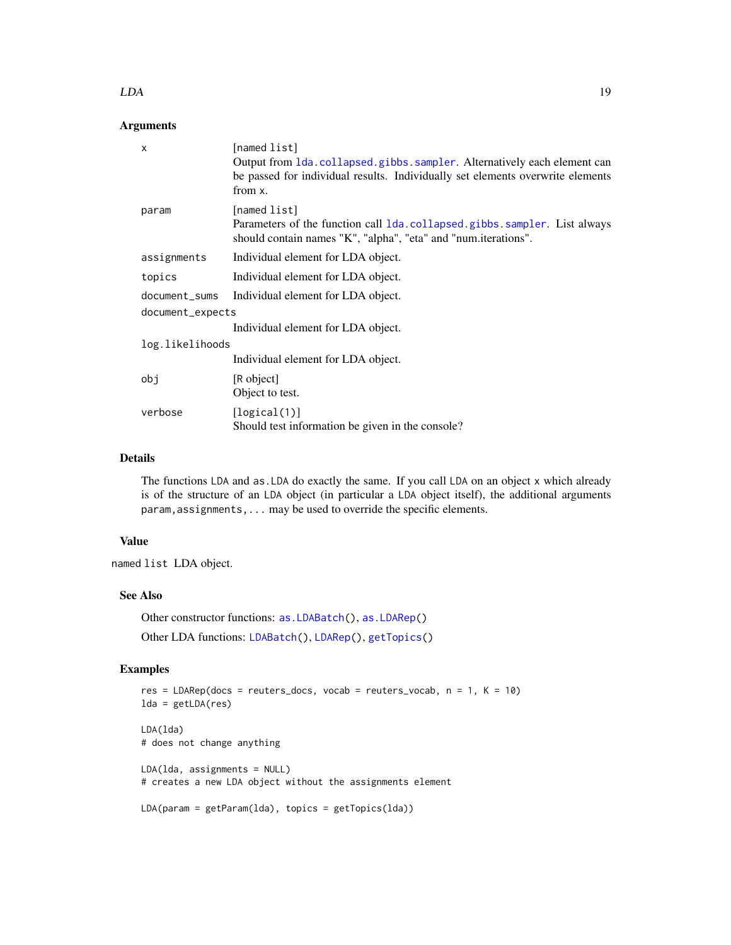#### <span id="page-18-0"></span> $LDA$  19

## Arguments

| X                | [named list]<br>Output from 1da. collapsed.gibbs. sampler. Alternatively each element can<br>be passed for individual results. Individually set elements overwrite elements<br>from x. |
|------------------|----------------------------------------------------------------------------------------------------------------------------------------------------------------------------------------|
| param            | [named list]<br>Parameters of the function call 1 da. collapsed. gibbs. sampler. List always<br>should contain names "K", "alpha", "eta" and "num.iterations".                         |
| assignments      | Individual element for LDA object.                                                                                                                                                     |
| topics           | Individual element for LDA object.                                                                                                                                                     |
| document_sums    | Individual element for LDA object.                                                                                                                                                     |
| document_expects |                                                                                                                                                                                        |
|                  | Individual element for LDA object.                                                                                                                                                     |
| log.likelihoods  |                                                                                                                                                                                        |
|                  | Individual element for LDA object.                                                                                                                                                     |
| obj              | [R object]<br>Object to test.                                                                                                                                                          |
| verbose          | [logical(1)]<br>Should test information be given in the console?                                                                                                                       |

## Details

The functions LDA and as.LDA do exactly the same. If you call LDA on an object x which already is of the structure of an LDA object (in particular a LDA object itself), the additional arguments param, assignments, ... may be used to override the specific elements.

## Value

named list LDA object.

#### See Also

Other constructor functions: [as.LDABatch\(](#page-2-1)), [as.LDARep\(](#page-4-1)) Other LDA functions: [LDABatch\(](#page-19-1)), [LDARep\(](#page-23-1)), [getTopics\(](#page-13-1))

## Examples

```
res = LDARep(docs = reuters_docs, vocab = reuters_vocab, n = 1, K = 10)lda = getLDA(res)
LDA(lda)
# does not change anything
LDA(lda, assignments = NULL)
# creates a new LDA object without the assignments element
LDA(param = getParam(lda), topics = getTopics(lda))
```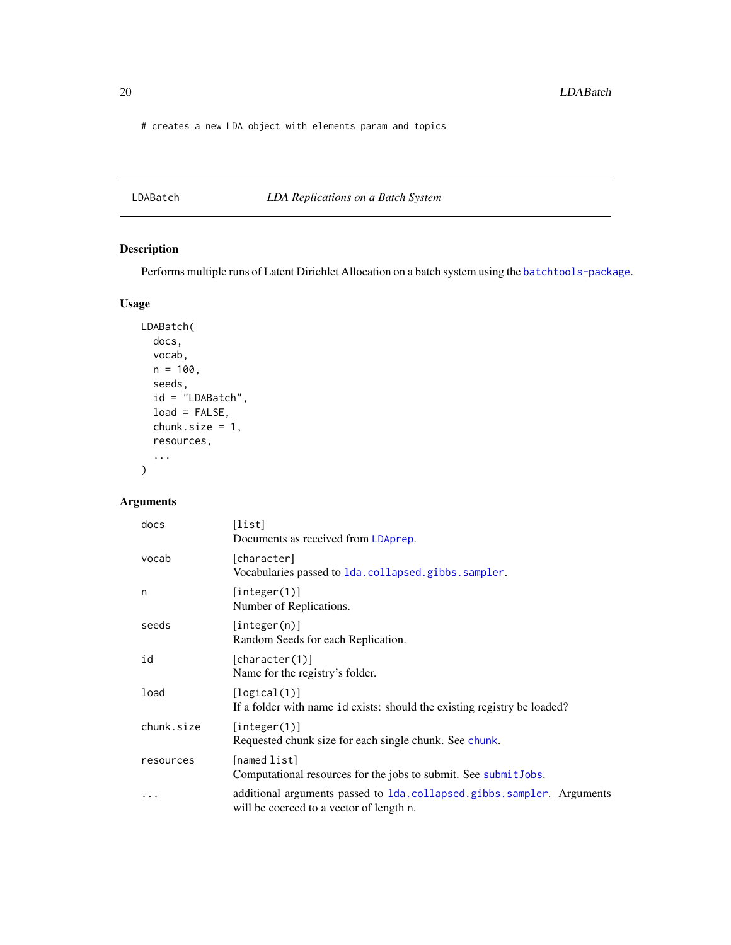<span id="page-19-0"></span># creates a new LDA object with elements param and topics

<span id="page-19-1"></span>LDABatch *LDA Replications on a Batch System*

## Description

Performs multiple runs of Latent Dirichlet Allocation on a batch system using the [batchtools-package](#page-0-0).

#### Usage

```
LDABatch(
  docs,
  vocab,
  n = 100,seeds,
  id = "LDABatch",
  load = FALSE,chunk.size = 1,
  resources,
  ...
\mathcal{L}
```

| docs       | [list]<br>Documents as received from LDAprep.                                                                     |
|------------|-------------------------------------------------------------------------------------------------------------------|
| vocab      | [character]<br>Vocabularies passed to 1da.collapsed.gibbs.sampler.                                                |
| n          | [integer(1)]<br>Number of Replications.                                                                           |
| seeds      | [integer(n)]<br>Random Seeds for each Replication.                                                                |
| id         | [character(1)]<br>Name for the registry's folder.                                                                 |
| load       | [logical(1)]<br>If a folder with name id exists: should the existing registry be loaded?                          |
| chunk.size | [integer(1)]<br>Requested chunk size for each single chunk. See chunk.                                            |
| resources  | [named list]<br>Computational resources for the jobs to submit. See submitJobs.                                   |
|            | additional arguments passed to 1da.collapsed.gibbs.sampler. Arguments<br>will be coerced to a vector of length n. |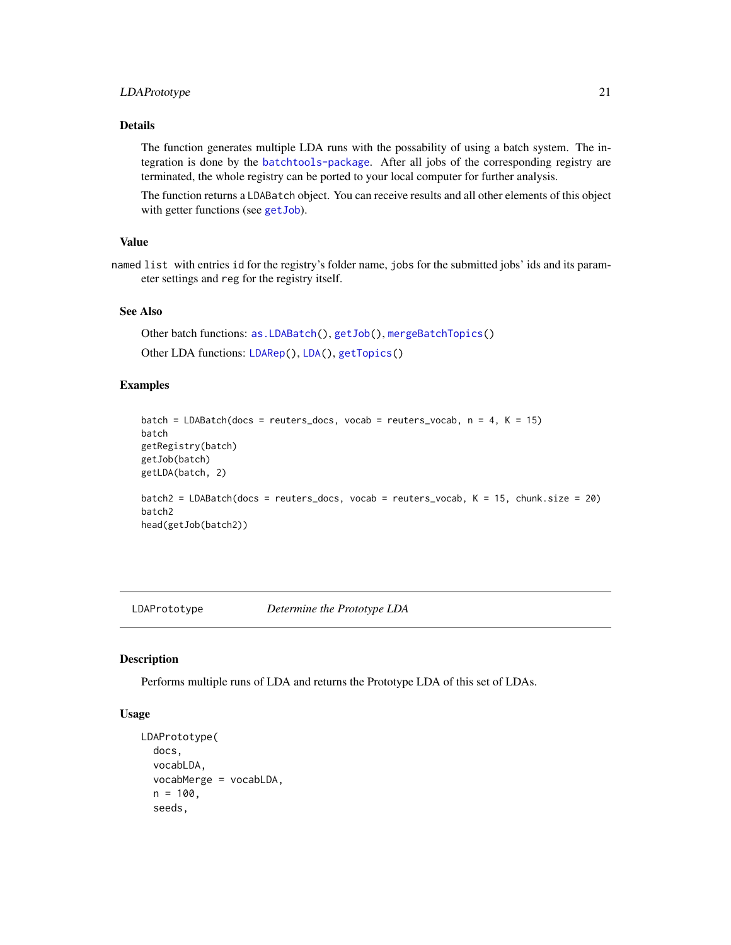## <span id="page-20-0"></span>LDAPrototype 21

#### Details

The function generates multiple LDA runs with the possability of using a batch system. The integration is done by the [batchtools-package](#page-0-0). After all jobs of the corresponding registry are terminated, the whole registry can be ported to your local computer for further analysis.

The function returns a LDABatch object. You can receive results and all other elements of this object with getter functions (see [getJob](#page-7-1)).

#### Value

named list with entries id for the registry's folder name, jobs for the submitted jobs' ids and its parameter settings and reg for the registry itself.

## See Also

```
Other batch functions: as.LDABatch(), getJob(), mergeBatchTopics()
Other LDA functions: LDARep(), LDA(), getTopics()
```
#### Examples

```
batch = LDABatch(docs = reuters_docs, vocab = reuters_vocab, n = 4, K = 15)
batch
getRegistry(batch)
getJob(batch)
getLDA(batch, 2)
batch2 = LDABatch(docs = reuters_docs, vocab = reuters_vocab, K = 15, chunk.size = 20)
batch2
head(getJob(batch2))
```
<span id="page-20-1"></span>LDAPrototype *Determine the Prototype LDA*

#### Description

Performs multiple runs of LDA and returns the Prototype LDA of this set of LDAs.

## Usage

```
LDAPrototype(
  docs,
  vocabLDA,
  vocabMerge = vocabLDA,
  n = 100,seeds,
```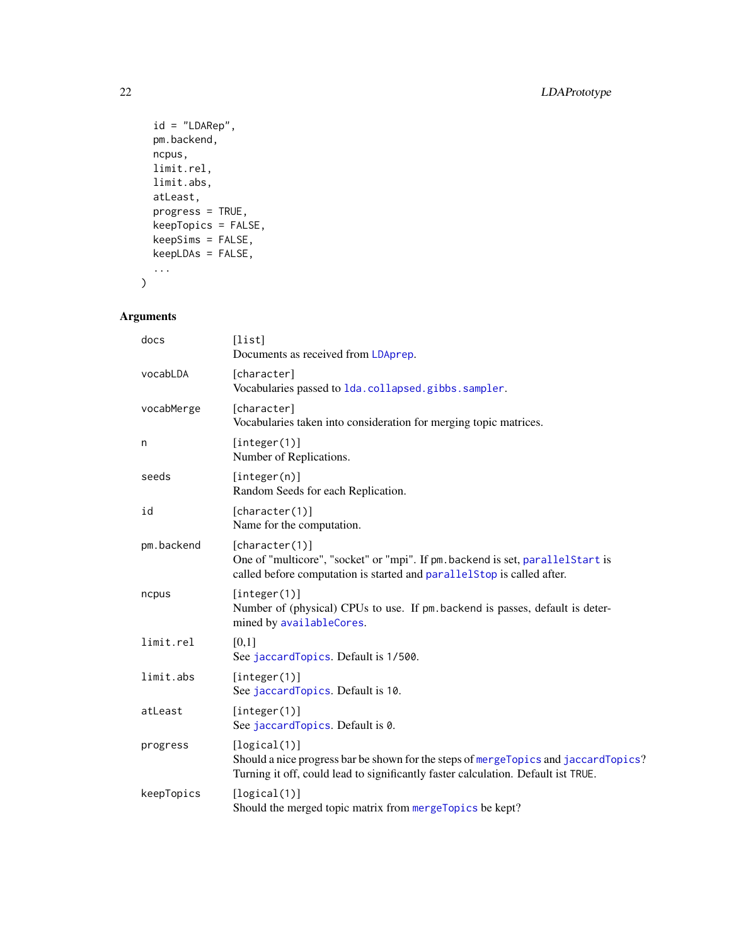```
id = "LDARep",
 pm.backend,
 ncpus,
 limit.rel,
 limit.abs,
 atLeast,
 progress = TRUE,
 keepTopics = FALSE,
 keepSims = FALSE,
 keepLDAs = FALSE,
  ...
\mathcal{L}
```

| docs       | [list]<br>Documents as received from LDAprep.                                                                                                                                            |
|------------|------------------------------------------------------------------------------------------------------------------------------------------------------------------------------------------|
| vocabLDA   | [character]<br>Vocabularies passed to 1da.collapsed.gibbs.sampler.                                                                                                                       |
| vocabMerge | [character]<br>Vocabularies taken into consideration for merging topic matrices.                                                                                                         |
| n          | [integer(1)]<br>Number of Replications.                                                                                                                                                  |
| seeds      | [integer(n)]<br>Random Seeds for each Replication.                                                                                                                                       |
| id         | [character(1)]<br>Name for the computation.                                                                                                                                              |
| pm.backend | [character(1)]<br>One of "multicore", "socket" or "mpi". If pm. backend is set, parallelStart is<br>called before computation is started and parallelstop is called after.               |
| ncpus      | [integer(1)]<br>Number of (physical) CPUs to use. If pm backend is passes, default is deter-<br>mined by availableCores.                                                                 |
| limit.rel  | [0,1]<br>See jaccardTopics. Default is 1/500.                                                                                                                                            |
| limit.abs  | [integer(1)]<br>See jaccardTopics. Default is 10.                                                                                                                                        |
| atLeast    | [integer(1)]<br>See jaccardTopics. Default is 0.                                                                                                                                         |
| progress   | [logical(1)]<br>Should a nice progress bar be shown for the steps of mergeTopics and jaccardTopics?<br>Turning it off, could lead to significantly faster calculation. Default ist TRUE. |
| keepTopics | [logical(1)]<br>Should the merged topic matrix from mergeTopics be kept?                                                                                                                 |

<span id="page-21-0"></span>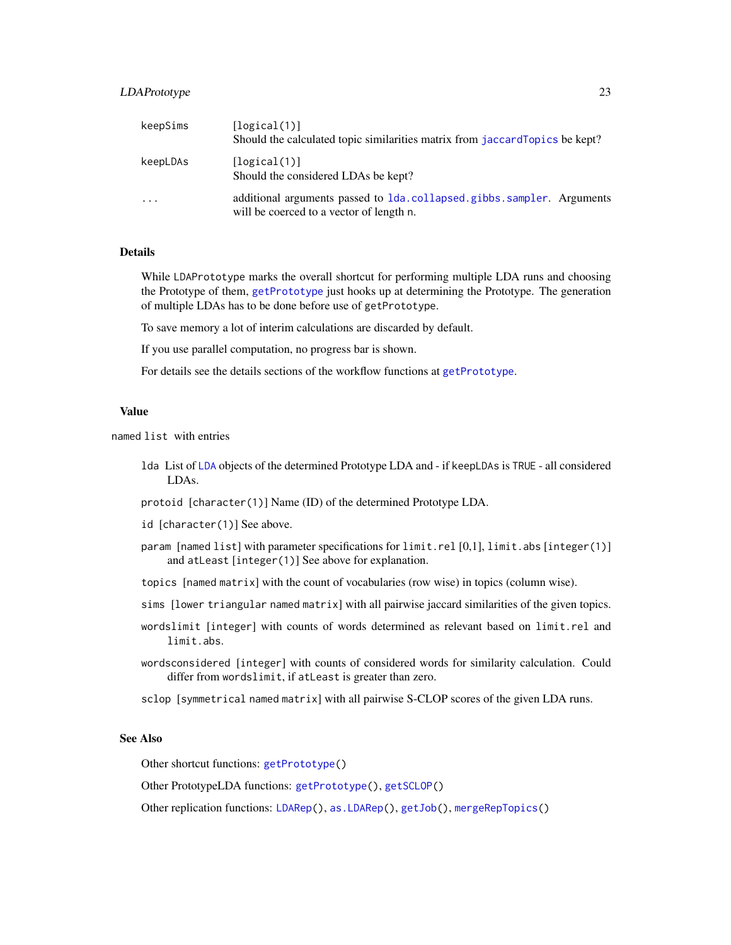## <span id="page-22-0"></span>LDAPrototype 23

| keepSims | [logical(1)]<br>Should the calculated topic similarities matrix from jaccardTopics be kept?                           |
|----------|-----------------------------------------------------------------------------------------------------------------------|
| keepLDAs | [logical(1)]<br>Should the considered LDAs be kept?                                                                   |
| .        | additional arguments passed to 1 da. collapsed. gibbs. sampler. Arguments<br>will be coerced to a vector of length n. |

#### Details

While LDAPrototype marks the overall shortcut for performing multiple LDA runs and choosing the Prototype of them, [getPrototype](#page-8-1) just hooks up at determining the Prototype. The generation of multiple LDAs has to be done before use of getPrototype.

To save memory a lot of interim calculations are discarded by default.

If you use parallel computation, no progress bar is shown.

For details see the details sections of the workflow functions at [getPrototype](#page-8-1).

#### Value

named list with entries

- lda List of [LDA](#page-17-1) objects of the determined Prototype LDA and if keepLDAs is TRUE all considered LDAs.
- protoid [character(1)] Name (ID) of the determined Prototype LDA.
- id [character(1)] See above.
- param [named list] with parameter specifications for limit.rel [0,1], limit.abs [integer(1)] and atLeast [integer(1)] See above for explanation.
- topics [named matrix] with the count of vocabularies (row wise) in topics (column wise).
- sims [lower triangular named matrix] with all pairwise jaccard similarities of the given topics.
- wordslimit [integer] with counts of words determined as relevant based on limit.rel and limit.abs.
- wordsconsidered [integer] with counts of considered words for similarity calculation. Could differ from wordslimit, if atLeast is greater than zero.
- sclop [symmetrical named matrix] with all pairwise S-CLOP scores of the given LDA runs.

## See Also

Other shortcut functions: [getPrototype\(](#page-8-1))

Other PrototypeLDA functions: [getPrototype\(](#page-8-1)), [getSCLOP\(](#page-12-1))

Other replication functions: [LDARep\(](#page-23-1)), [as.LDARep\(](#page-4-1)), [getJob\(](#page-7-1)), [mergeRepTopics\(](#page-25-1))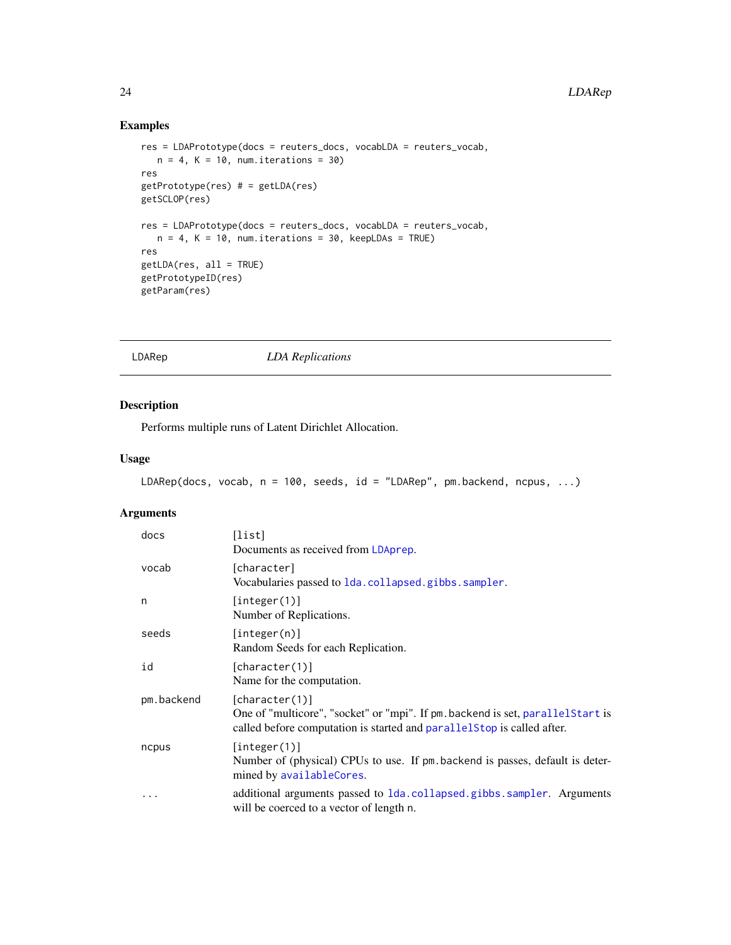## Examples

```
res = LDAPrototype(docs = reuters_docs, vocabLDA = reuters_vocab,
  n = 4, K = 10, num.iterations = 30)
res
getPrototype(res) # = getLDA(res)
getSCLOP(res)
res = LDAPrototype(docs = reuters_docs, vocabLDA = reuters_vocab,
  n = 4, K = 10, num.iterations = 30, keepLDAs = TRUE)
res
getLDA(res, all = TRUE)
getPrototypeID(res)
getParam(res)
```
<span id="page-23-1"></span>LDARep *LDA Replications*

## Description

Performs multiple runs of Latent Dirichlet Allocation.

## Usage

```
LDARep(docs, vocab, n = 100, seeds, id = "LDARep", pm.backend, ncpus, ...)
```

| docs       | [list]<br>Documents as received from LDAprep.                                                                                                                              |
|------------|----------------------------------------------------------------------------------------------------------------------------------------------------------------------------|
| vocab      | [character]<br>Vocabularies passed to 1da.collapsed.gibbs.sampler.                                                                                                         |
| n          | [integer(1)]<br>Number of Replications.                                                                                                                                    |
| seeds      | [interger(n)]<br>Random Seeds for each Replication.                                                                                                                        |
| id         | [character(1)]<br>Name for the computation.                                                                                                                                |
| pm.backend | [character(1)]<br>One of "multicore", "socket" or "mpi". If pm. backend is set, parallelStart is<br>called before computation is started and parallelstop is called after. |
| ncpus      | [integer(1)]<br>Number of (physical) CPUs to use. If pm backend is passes, default is deter-<br>mined by availableCores.                                                   |
| $\ddotsc$  | additional arguments passed to 1da.collapsed.gibbs.sampler. Arguments<br>will be coerced to a vector of length n.                                                          |

<span id="page-23-0"></span>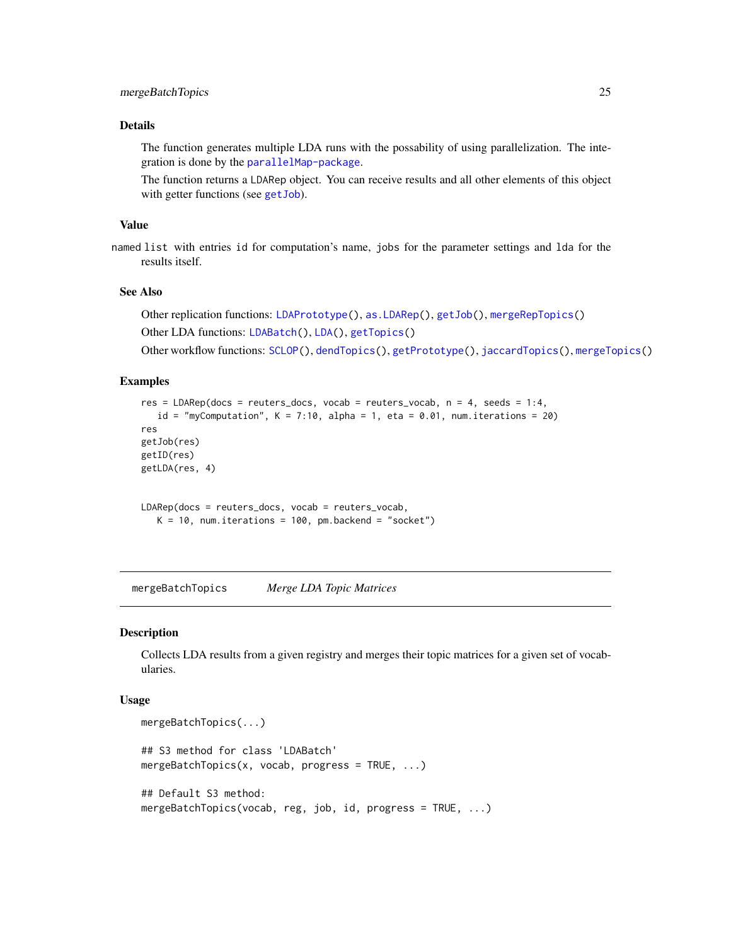## <span id="page-24-0"></span>mergeBatchTopics 25

## Details

The function generates multiple LDA runs with the possability of using parallelization. The integration is done by the [parallelMap-package](#page-0-0).

The function returns a LDARep object. You can receive results and all other elements of this object with getter functions (see get Job).

#### Value

named list with entries id for computation's name, jobs for the parameter settings and lda for the results itself.

#### See Also

```
Other replication functions: LDAPrototype(), as.LDARep(), getJob(), mergeRepTopics()
```
Other LDA functions: [LDABatch\(](#page-19-1)), [LDA\(](#page-17-1)), [getTopics\(](#page-13-1))

```
Other workflow functions: SCLOP(), dendTopics(), getPrototype(), jaccardTopics(), mergeTopics()
```
## Examples

```
res = LDARep(docs = reuters_docs, vocab = reuters_vocab, n = 4, seeds = 1:4,
   id = "myComputation", K = 7:10, alpha = 1, eta = 0.01, num.iterations = 20)
res
getJob(res)
getID(res)
getLDA(res, 4)
LDARep(docs = reuters_docs, vocab = reuters_vocab,
   K = 10, num.iterations = 100, pm.backend = "socket")
```
<span id="page-24-1"></span>mergeBatchTopics *Merge LDA Topic Matrices*

#### Description

Collects LDA results from a given registry and merges their topic matrices for a given set of vocabularies.

#### Usage

```
mergeBatchTopics(...)
## S3 method for class 'LDABatch'
mergeBatchTopics(x, vocab, progress = TRUE, ...)
## Default S3 method:
mergeBatchTopics(vocab, reg, job, id, progress = TRUE, ...)
```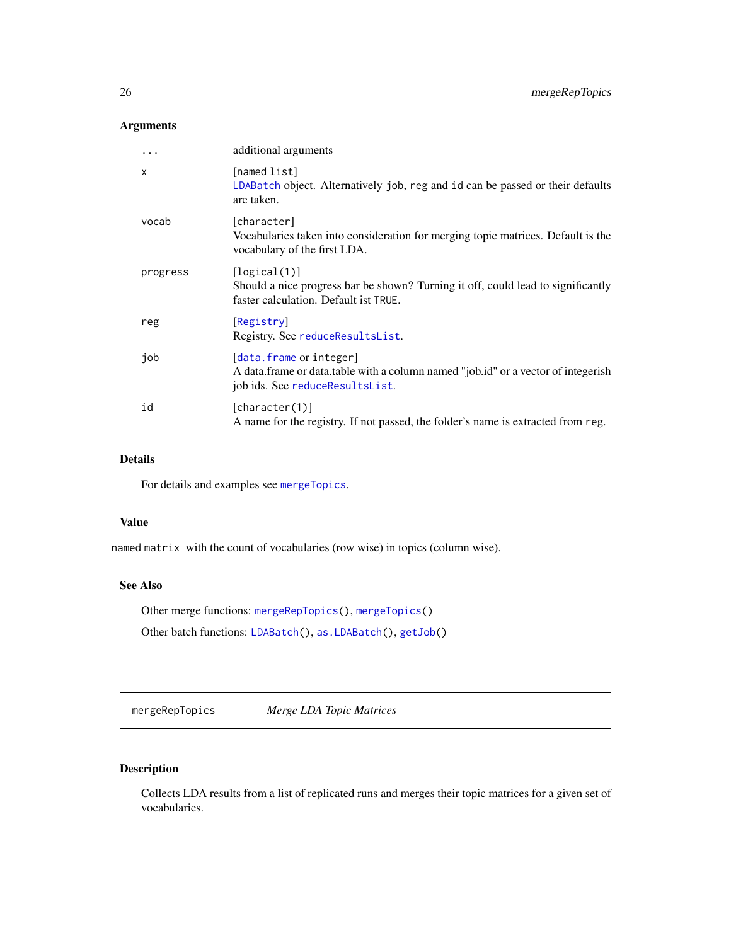## <span id="page-25-0"></span>Arguments

| .        | additional arguments                                                                                                                            |
|----------|-------------------------------------------------------------------------------------------------------------------------------------------------|
| X        | [named list]<br>LDABatch object. Alternatively job, reg and id can be passed or their defaults<br>are taken.                                    |
| vocab    | [character]<br>Vocabularies taken into consideration for merging topic matrices. Default is the<br>vocabulary of the first LDA.                 |
| progress | [logical(1)]<br>Should a nice progress bar be shown? Turning it off, could lead to significantly<br>faster calculation. Default ist TRUE.       |
| reg      | [Registry]<br>Registry. See reduceResultsList.                                                                                                  |
| job      | [data.frame or integer]<br>A data.frame or data.table with a column named "job.id" or a vector of integerish<br>job ids. See reduceResultsList. |
| id       | [character(1)]<br>A name for the registry. If not passed, the folder's name is extracted from reg.                                              |

## Details

For details and examples see [mergeTopics](#page-27-1).

#### Value

named matrix with the count of vocabularies (row wise) in topics (column wise).

## See Also

Other merge functions: [mergeRepTopics\(](#page-25-1)), [mergeTopics\(](#page-27-1))

Other batch functions: [LDABatch\(](#page-19-1)), [as.LDABatch\(](#page-2-1)), [getJob\(](#page-7-1))

<span id="page-25-1"></span>mergeRepTopics *Merge LDA Topic Matrices*

## Description

Collects LDA results from a list of replicated runs and merges their topic matrices for a given set of vocabularies.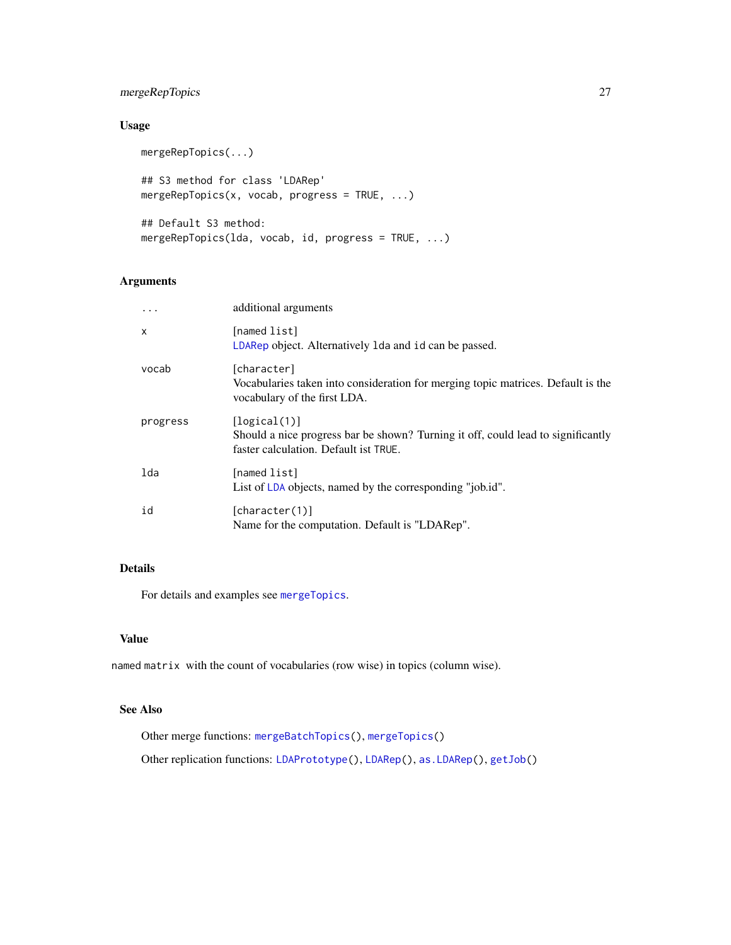## <span id="page-26-0"></span>mergeRepTopics 27

## Usage

```
mergeRepTopics(...)
## S3 method for class 'LDARep'
mergeRepTopics(x, vocab, progress = TRUE, ...)
## Default S3 method:
mergeRepTopics(lda, vocab, id, progress = TRUE, ...)
```
## Arguments

| .            | additional arguments                                                                                                                      |
|--------------|-------------------------------------------------------------------------------------------------------------------------------------------|
| $\mathsf{x}$ | [named list]<br>LDARep object. Alternatively 1 da and id can be passed.                                                                   |
| vocab        | [character]<br>Vocabularies taken into consideration for merging topic matrices. Default is the<br>vocabulary of the first LDA.           |
| progress     | [logical(1)]<br>Should a nice progress bar be shown? Turning it off, could lead to significantly<br>faster calculation. Default ist TRUE. |
| lda          | [named list]<br>List of LDA objects, named by the corresponding "job.id".                                                                 |
| id           | [character(1)]<br>Name for the computation. Default is "LDARep".                                                                          |

## Details

For details and examples see [mergeTopics](#page-27-1).

## Value

named matrix with the count of vocabularies (row wise) in topics (column wise).

## See Also

Other merge functions: [mergeBatchTopics\(](#page-24-1)), [mergeTopics\(](#page-27-1))

Other replication functions: [LDAPrototype\(](#page-20-1)), [LDARep\(](#page-23-1)), [as.LDARep\(](#page-4-1)), [getJob\(](#page-7-1))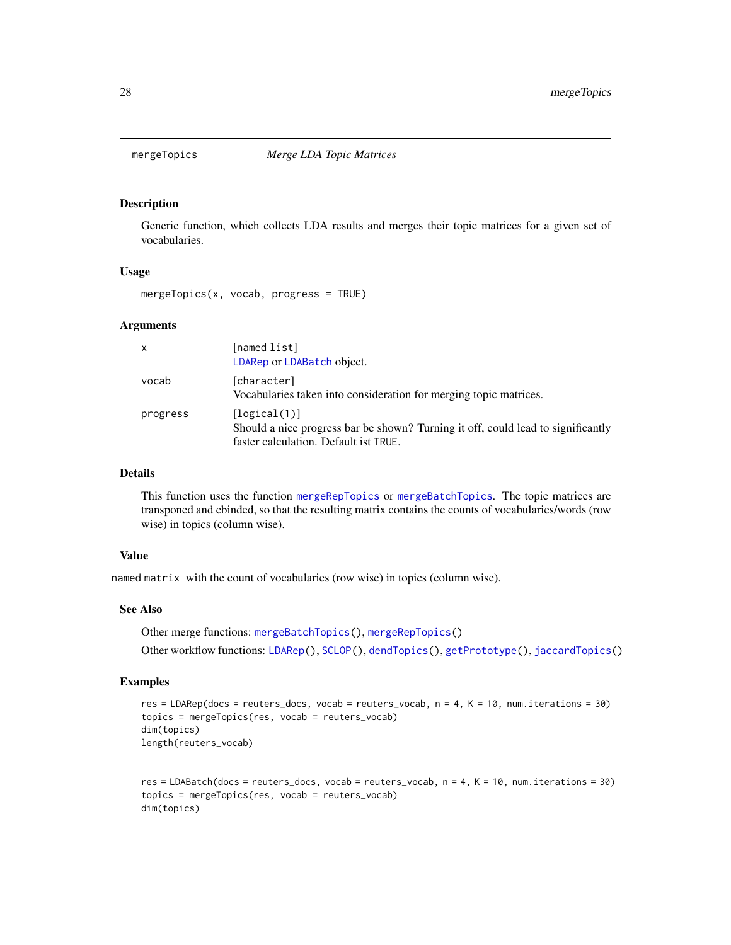<span id="page-27-1"></span><span id="page-27-0"></span>

#### Description

Generic function, which collects LDA results and merges their topic matrices for a given set of vocabularies.

#### Usage

mergeTopics(x, vocab, progress = TRUE)

#### Arguments

| $\mathsf{x}$ | [named list]<br>LDARep or LDABatch object.                                                                                                |
|--------------|-------------------------------------------------------------------------------------------------------------------------------------------|
| vocab        | [character]<br>Vocabularies taken into consideration for merging topic matrices.                                                          |
| progress     | [logical(1)]<br>Should a nice progress bar be shown? Turning it off, could lead to significantly<br>faster calculation. Default ist TRUE. |

## Details

This function uses the function [mergeRepTopics](#page-25-1) or [mergeBatchTopics](#page-24-1). The topic matrices are transponed and cbinded, so that the resulting matrix contains the counts of vocabularies/words (row wise) in topics (column wise).

## Value

named matrix with the count of vocabularies (row wise) in topics (column wise).

## See Also

Other merge functions: [mergeBatchTopics\(](#page-24-1)), [mergeRepTopics\(](#page-25-1)) Other workflow functions: [LDARep\(](#page-23-1)), [SCLOP\(](#page-29-2)), [dendTopics\(](#page-5-1)), [getPrototype\(](#page-8-1)), [jaccardTopics\(](#page-15-1))

#### Examples

```
res = LDARep(docs = reuters_docs, vocab = reuters_vocab, n = 4, K = 10, num.iterations = 30)
topics = mergeTopics(res, vocab = reuters_vocab)
dim(topics)
length(reuters_vocab)
```

```
res = LDABatch(docs = reuters_docs, vocab = reuters_vocab, n = 4, K = 10, num.iterations = 30)
topics = mergeTopics(res, vocab = reuters_vocab)
dim(topics)
```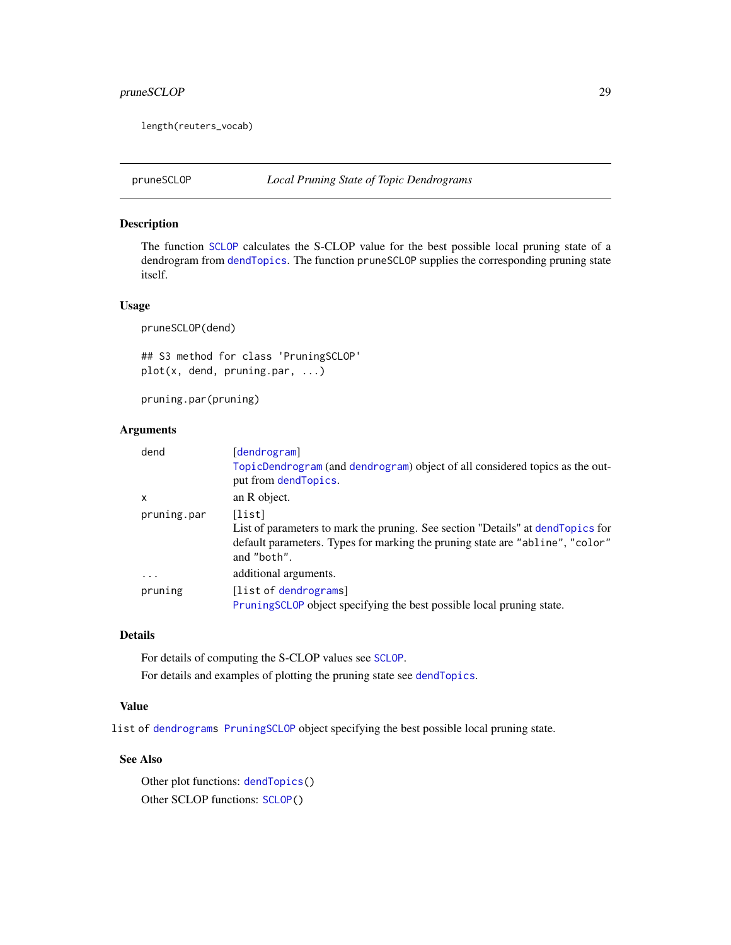## <span id="page-28-0"></span>pruneSCLOP 29

length(reuters\_vocab)

<span id="page-28-1"></span>

## Description

The function [SCLOP](#page-29-2) calculates the S-CLOP value for the best possible local pruning state of a dendrogram from [dendTopics](#page-5-1). The function pruneSCLOP supplies the corresponding pruning state itself.

#### Usage

pruneSCLOP(dend)

## S3 method for class 'PruningSCLOP' plot(x, dend, pruning.par, ...)

pruning.par(pruning)

#### Arguments

| dend        | [dendrogram]                                                                                                                                                                               |
|-------------|--------------------------------------------------------------------------------------------------------------------------------------------------------------------------------------------|
|             | TopicDendrogram (and dendrogram) object of all considered topics as the out-<br>put from dendTopics.                                                                                       |
| X           | an R object.                                                                                                                                                                               |
| pruning.par | [list]<br>List of parameters to mark the pruning. See section "Details" at dend Topics for<br>default parameters. Types for marking the pruning state are "abline", "color"<br>and "both". |
| $\ddotsc$   | additional arguments.                                                                                                                                                                      |
| pruning     | [list of dendrograms]<br>PruningSCLOP object specifying the best possible local pruning state.                                                                                             |

## Details

For details of computing the S-CLOP values see [SCLOP](#page-29-2).

For details and examples of plotting the pruning state see [dendTopics](#page-5-1).

## Value

list of [dendrograms](#page-0-0) [PruningSCLOP](#page-28-1) object specifying the best possible local pruning state.

#### See Also

Other plot functions: [dendTopics\(](#page-5-1)) Other SCLOP functions: [SCLOP\(](#page-29-2))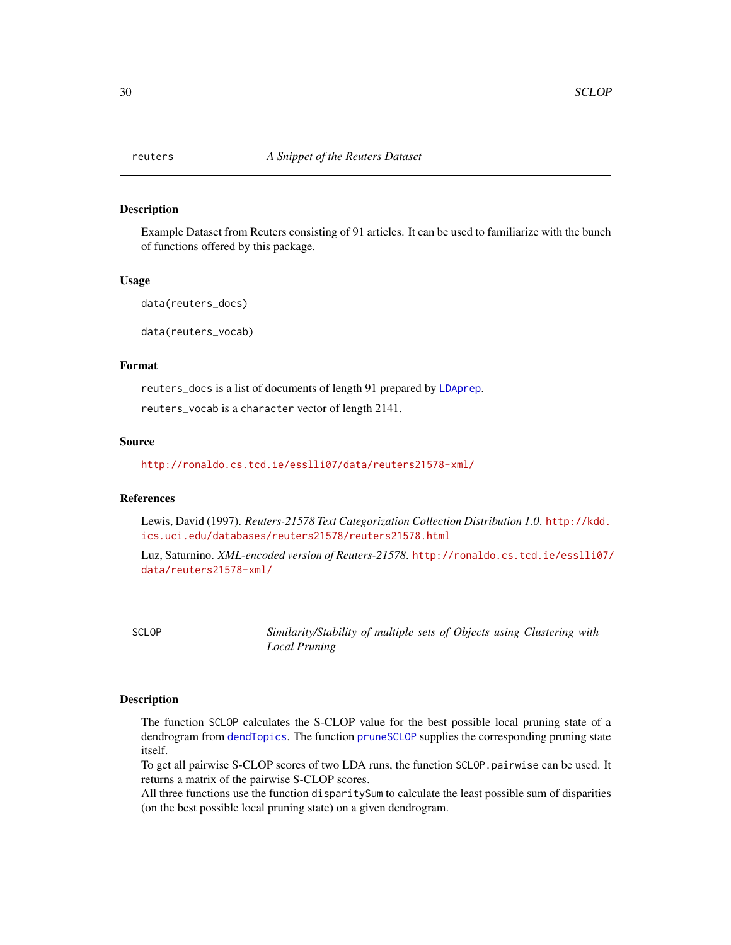<span id="page-29-1"></span><span id="page-29-0"></span>

## **Description**

Example Dataset from Reuters consisting of 91 articles. It can be used to familiarize with the bunch of functions offered by this package.

#### Usage

data(reuters\_docs)

data(reuters\_vocab)

#### Format

reuters\_docs is a list of documents of length 91 prepared by [LDAprep](#page-0-0). reuters\_vocab is a character vector of length 2141.

## Source

<http://ronaldo.cs.tcd.ie/esslli07/data/reuters21578-xml/>

## References

Lewis, David (1997). *Reuters-21578 Text Categorization Collection Distribution 1.0*. [http://kdd.](http://kdd.ics.uci.edu/databases/reuters21578/reuters21578.html) [ics.uci.edu/databases/reuters21578/reuters21578.html](http://kdd.ics.uci.edu/databases/reuters21578/reuters21578.html)

Luz, Saturnino. *XML-encoded version of Reuters-21578*. [http://ronaldo.cs.tcd.ie/esslli07/](http://ronaldo.cs.tcd.ie/esslli07/data/reuters21578-xml/) [data/reuters21578-xml/](http://ronaldo.cs.tcd.ie/esslli07/data/reuters21578-xml/)

<span id="page-29-2"></span>SCLOP *Similarity/Stability of multiple sets of Objects using Clustering with Local Pruning*

#### <span id="page-29-3"></span>Description

The function SCLOP calculates the S-CLOP value for the best possible local pruning state of a dendrogram from [dendTopics](#page-5-1). The function [pruneSCLOP](#page-28-1) supplies the corresponding pruning state itself.

To get all pairwise S-CLOP scores of two LDA runs, the function SCLOP.pairwise can be used. It returns a matrix of the pairwise S-CLOP scores.

All three functions use the function disparitySum to calculate the least possible sum of disparities (on the best possible local pruning state) on a given dendrogram.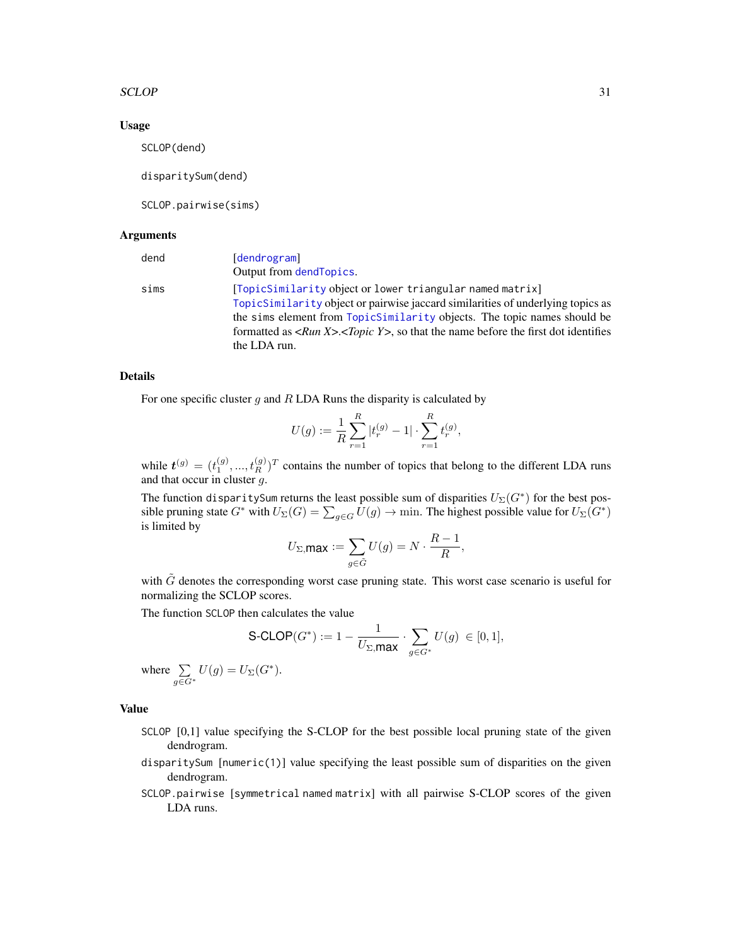#### <span id="page-30-0"></span>SCLOP 31

#### Usage

SCLOP(dend)

disparitySum(dend)

SCLOP.pairwise(sims)

#### Arguments

| dend | [dendrogram]                                                                                                        |
|------|---------------------------------------------------------------------------------------------------------------------|
|      | Output from dend Topics.                                                                                            |
| sims | [TopicSimilarity object or lower triangular named matrix]                                                           |
|      | TopicSimilarity object or pairwise jaccard similarities of underlying topics as                                     |
|      | the sims element from TopicSimilarity objects. The topic names should be                                            |
|      | formatted as $\langle Run X \rangle$ . $\langle Topic Y \rangle$ , so that the name before the first dot identifies |
|      | the LDA run.                                                                                                        |

## Details

For one specific cluster  $g$  and  $R$  LDA Runs the disparity is calculated by

$$
U(g):=\frac{1}{R}\sum_{r=1}^R|t_r^{(g)}-1|\cdot\sum_{r=1}^Rt_r^{(g)},
$$

while  $t^{(g)} = (t_1^{(g)},..., t_R^{(g)})^T$  contains the number of topics that belong to the different LDA runs and that occur in cluster  $q$ .

The function disparitySum returns the least possible sum of disparities  $U_{\Sigma}(G^*)$  for the best possible pruning state  $G^*$  with  $U_{\Sigma}(G) = \sum_{g \in G} U(g) \to \text{min}$ . The highest possible value for  $U_{\Sigma}(G^*)$ is limited by

$$
U_{\Sigma,\text{max}} := \sum_{g \in \tilde{G}} U(g) = N \cdot \frac{R-1}{R},
$$

with  $\tilde{G}$  denotes the corresponding worst case pruning state. This worst case scenario is useful for normalizing the SCLOP scores.

The function SCLOP then calculates the value

$$
\text{S-CLOP}(G^*):= 1 - \frac{1}{U_{\Sigma,\text{max}}} \cdot \sum_{g \in G^*} U(g) \ \in [0,1],
$$

where  $\Sigma$  $\sum_{g \in G^*} U(g) = U_{\Sigma}(G^*).$ 

## Value

- SCLOP [0,1] value specifying the S-CLOP for the best possible local pruning state of the given dendrogram.
- disparitySum [numeric(1)] value specifying the least possible sum of disparities on the given dendrogram.
- SCLOP.pairwise [symmetrical named matrix] with all pairwise S-CLOP scores of the given LDA runs.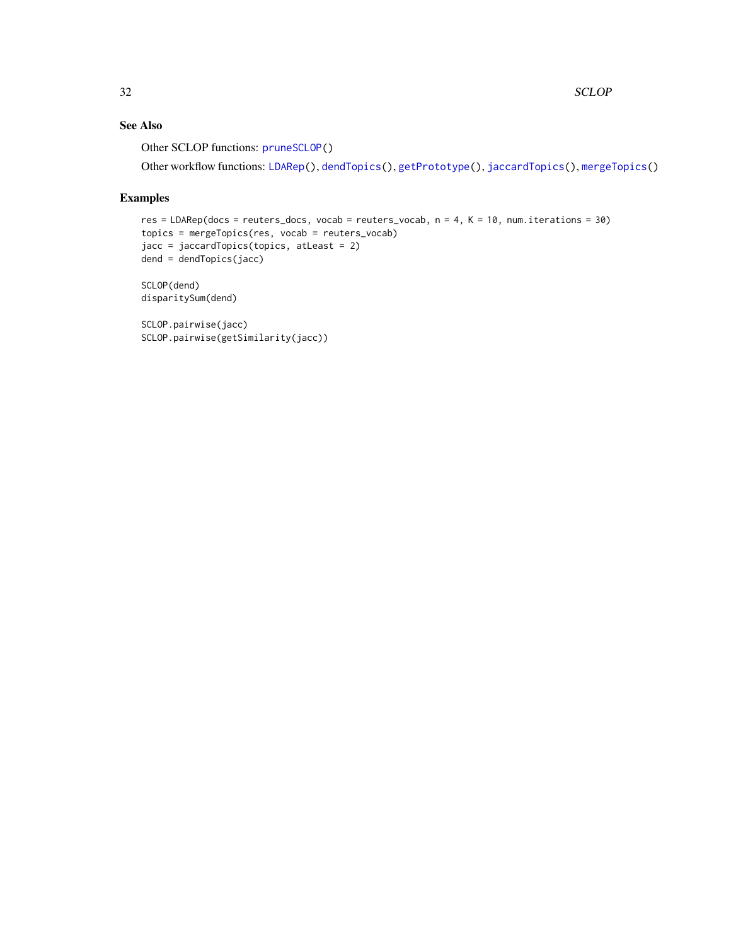## <span id="page-31-0"></span>See Also

Other SCLOP functions: [pruneSCLOP\(](#page-28-1))

Other workflow functions: [LDARep\(](#page-23-1)), [dendTopics\(](#page-5-1)), [getPrototype\(](#page-8-1)), [jaccardTopics\(](#page-15-1)), [mergeTopics\(](#page-27-1))

## Examples

```
res = LDARep(docs = reuters_docs, vocab = reuters_vocab, n = 4, K = 10, num.iterations = 30)
topics = mergeTopics(res, vocab = reuters_vocab)
jacc = jaccardTopics(topics, atLeast = 2)
dend = dendTopics(jacc)
SCLOP(dend)
```
disparitySum(dend)

```
SCLOP.pairwise(jacc)
SCLOP.pairwise(getSimilarity(jacc))
```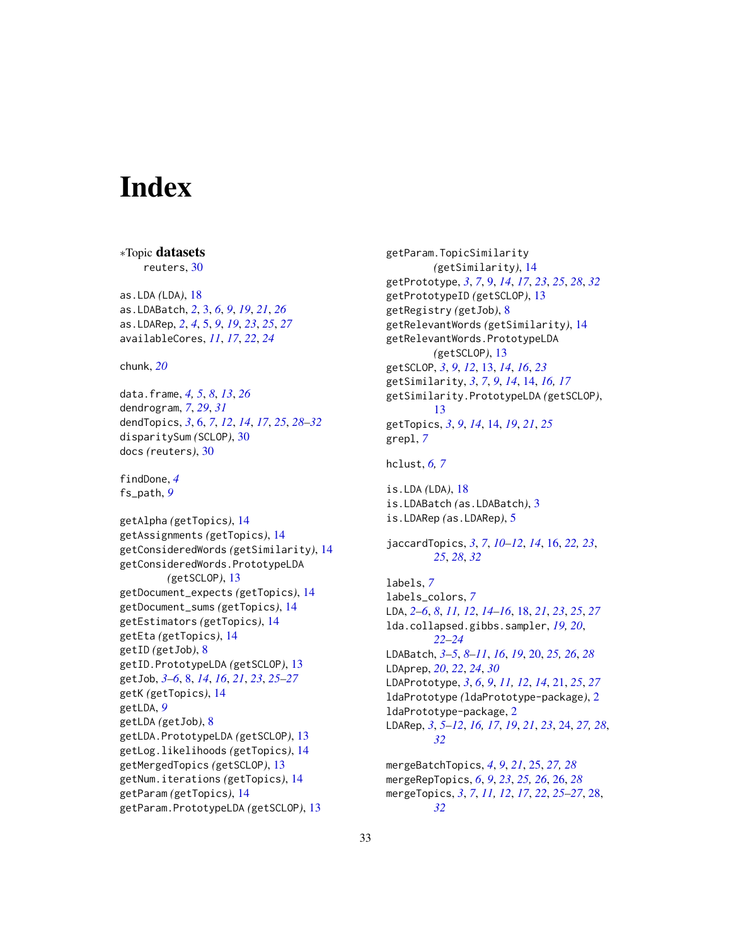# <span id="page-32-0"></span>**Index**

```
∗Topic datasets
    reuters, 30
as.LDA (LDA), 18
as.LDABatch, 2, 3, 6, 9, 19, 21, 26
as.LDARep, 2, 4, 5, 9, 19, 23, 25, 27
availableCores, 11, 17, 22, 24
chunk, 20
data.frame, 4, 5, 8, 13, 26
dendrogram, 7, 29, 31
dendTopics, 3, 6, 7, 12, 14, 17, 25, 28–32
disparitySum (SCLOP), 30
docs (reuters), 30
findDone, 4
fs_path, 9
getAlpha (getTopics), 14
getAssignments (getTopics), 14
getConsideredWords (getSimilarity), 14
getConsideredWords.PrototypeLDA
        (getSCLOP), 13
getDocument_expects (getTopics), 14
getDocument_sums (getTopics), 14
getEstimators (getTopics), 14
getEta (getTopics), 14
getID (getJob), 8
getID.PrototypeLDA (getSCLOP), 13
getJob, 3–6, 8, 14, 16, 21, 23, 25–27
getK (getTopics), 14
getLDA, 9
getLDA (getJob), 8
getLDA.PrototypeLDA (getSCLOP), 13
getLog.likelihoods (getTopics), 14
getMergedTopics (getSCLOP), 13
getNum.iterations (getTopics), 14
getParam (getTopics), 14
```
getParam.PrototypeLDA *(*getSCLOP*)*, [13](#page-12-0)

getParam.TopicSimilarity *(*getSimilarity*)*, [14](#page-13-0) getPrototype, *[3](#page-2-0)*, *[7](#page-6-0)*, [9,](#page-8-0) *[14](#page-13-0)*, *[17](#page-16-0)*, *[23](#page-22-0)*, *[25](#page-24-0)*, *[28](#page-27-0)*, *[32](#page-31-0)* getPrototypeID *(*getSCLOP*)*, [13](#page-12-0) getRegistry *(*getJob*)*, [8](#page-7-0) getRelevantWords *(*getSimilarity*)*, [14](#page-13-0) getRelevantWords.PrototypeLDA *(*getSCLOP*)*, [13](#page-12-0) getSCLOP, *[3](#page-2-0)*, *[9](#page-8-0)*, *[12](#page-11-0)*, [13,](#page-12-0) *[14](#page-13-0)*, *[16](#page-15-0)*, *[23](#page-22-0)* getSimilarity, *[3](#page-2-0)*, *[7](#page-6-0)*, *[9](#page-8-0)*, *[14](#page-13-0)*, [14,](#page-13-0) *[16,](#page-15-0) [17](#page-16-0)* getSimilarity.PrototypeLDA *(*getSCLOP*)*, [13](#page-12-0) getTopics, *[3](#page-2-0)*, *[9](#page-8-0)*, *[14](#page-13-0)*, [14,](#page-13-0) *[19](#page-18-0)*, *[21](#page-20-0)*, *[25](#page-24-0)* grepl, *[7](#page-6-0)* hclust, *[6,](#page-5-0) [7](#page-6-0)* is.LDA *(*LDA*)*, [18](#page-17-0) is.LDABatch *(*as.LDABatch*)*, [3](#page-2-0) is.LDARep *(*as.LDARep*)*, [5](#page-4-0) jaccardTopics, *[3](#page-2-0)*, *[7](#page-6-0)*, *[10](#page-9-0)[–12](#page-11-0)*, *[14](#page-13-0)*, [16,](#page-15-0) *[22,](#page-21-0) [23](#page-22-0)*, *[25](#page-24-0)*, *[28](#page-27-0)*, *[32](#page-31-0)* labels, *[7](#page-6-0)* labels\_colors, *[7](#page-6-0)* LDA, *[2–](#page-1-0)[6](#page-5-0)*, *[8](#page-7-0)*, *[11,](#page-10-0) [12](#page-11-0)*, *[14](#page-13-0)[–16](#page-15-0)*, [18,](#page-17-0) *[21](#page-20-0)*, *[23](#page-22-0)*, *[25](#page-24-0)*, *[27](#page-26-0)* lda.collapsed.gibbs.sampler, *[19,](#page-18-0) [20](#page-19-0)*, *[22](#page-21-0)[–24](#page-23-0)* LDABatch, *[3](#page-2-0)[–5](#page-4-0)*, *[8](#page-7-0)[–11](#page-10-0)*, *[16](#page-15-0)*, *[19](#page-18-0)*, [20,](#page-19-0) *[25,](#page-24-0) [26](#page-25-0)*, *[28](#page-27-0)* LDAprep, *[20](#page-19-0)*, *[22](#page-21-0)*, *[24](#page-23-0)*, *[30](#page-29-0)* LDAPrototype, *[3](#page-2-0)*, *[6](#page-5-0)*, *[9](#page-8-0)*, *[11,](#page-10-0) [12](#page-11-0)*, *[14](#page-13-0)*, [21,](#page-20-0) *[25](#page-24-0)*, *[27](#page-26-0)* ldaPrototype *(*ldaPrototype-package*)*, [2](#page-1-0) ldaPrototype-package, [2](#page-1-0) LDARep, *[3](#page-2-0)*, *[5](#page-4-0)[–12](#page-11-0)*, *[16,](#page-15-0) [17](#page-16-0)*, *[19](#page-18-0)*, *[21](#page-20-0)*, *[23](#page-22-0)*, [24,](#page-23-0) *[27,](#page-26-0) [28](#page-27-0)*, *[32](#page-31-0)* mergeBatchTopics, *[4](#page-3-0)*, *[9](#page-8-0)*, *[21](#page-20-0)*, [25,](#page-24-0) *[27,](#page-26-0) [28](#page-27-0)* mergeRepTopics, *[6](#page-5-0)*, *[9](#page-8-0)*, *[23](#page-22-0)*, *[25,](#page-24-0) [26](#page-25-0)*, [26,](#page-25-0) *[28](#page-27-0)* mergeTopics, *[3](#page-2-0)*, *[7](#page-6-0)*, *[11,](#page-10-0) [12](#page-11-0)*, *[17](#page-16-0)*, *[22](#page-21-0)*, *[25](#page-24-0)[–27](#page-26-0)*, [28,](#page-27-0) *[32](#page-31-0)*